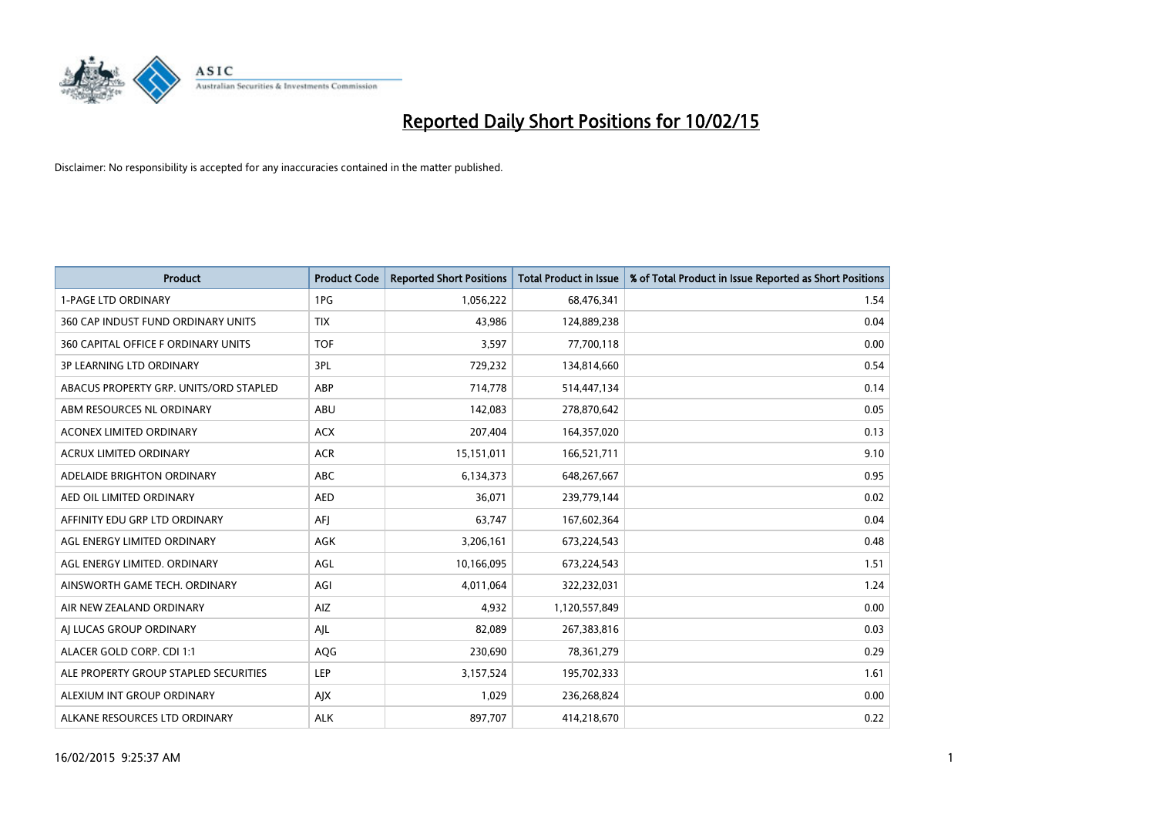

| Product                                | <b>Product Code</b> | <b>Reported Short Positions</b> | <b>Total Product in Issue</b> | % of Total Product in Issue Reported as Short Positions |
|----------------------------------------|---------------------|---------------------------------|-------------------------------|---------------------------------------------------------|
| <b>1-PAGE LTD ORDINARY</b>             | 1PG                 | 1,056,222                       | 68,476,341                    | 1.54                                                    |
| 360 CAP INDUST FUND ORDINARY UNITS     | <b>TIX</b>          | 43,986                          | 124,889,238                   | 0.04                                                    |
| 360 CAPITAL OFFICE F ORDINARY UNITS    | <b>TOF</b>          | 3,597                           | 77,700,118                    | 0.00                                                    |
| <b>3P LEARNING LTD ORDINARY</b>        | 3PL                 | 729,232                         | 134,814,660                   | 0.54                                                    |
| ABACUS PROPERTY GRP. UNITS/ORD STAPLED | ABP                 | 714,778                         | 514,447,134                   | 0.14                                                    |
| ABM RESOURCES NL ORDINARY              | <b>ABU</b>          | 142,083                         | 278,870,642                   | 0.05                                                    |
| ACONEX LIMITED ORDINARY                | <b>ACX</b>          | 207,404                         | 164,357,020                   | 0.13                                                    |
| ACRUX LIMITED ORDINARY                 | <b>ACR</b>          | 15,151,011                      | 166,521,711                   | 9.10                                                    |
| ADELAIDE BRIGHTON ORDINARY             | ABC                 | 6,134,373                       | 648,267,667                   | 0.95                                                    |
| AED OIL LIMITED ORDINARY               | <b>AED</b>          | 36,071                          | 239,779,144                   | 0.02                                                    |
| AFFINITY EDU GRP LTD ORDINARY          | AFJ                 | 63,747                          | 167,602,364                   | 0.04                                                    |
| AGL ENERGY LIMITED ORDINARY            | AGK                 | 3,206,161                       | 673,224,543                   | 0.48                                                    |
| AGL ENERGY LIMITED. ORDINARY           | AGL                 | 10,166,095                      | 673,224,543                   | 1.51                                                    |
| AINSWORTH GAME TECH. ORDINARY          | AGI                 | 4,011,064                       | 322,232,031                   | 1.24                                                    |
| AIR NEW ZEALAND ORDINARY               | AIZ                 | 4,932                           | 1,120,557,849                 | 0.00                                                    |
| AI LUCAS GROUP ORDINARY                | AJL                 | 82.089                          | 267,383,816                   | 0.03                                                    |
| ALACER GOLD CORP. CDI 1:1              | AQG                 | 230,690                         | 78,361,279                    | 0.29                                                    |
| ALE PROPERTY GROUP STAPLED SECURITIES  | <b>LEP</b>          | 3,157,524                       | 195,702,333                   | 1.61                                                    |
| ALEXIUM INT GROUP ORDINARY             | AJX                 | 1,029                           | 236,268,824                   | 0.00                                                    |
| ALKANE RESOURCES LTD ORDINARY          | <b>ALK</b>          | 897,707                         | 414,218,670                   | 0.22                                                    |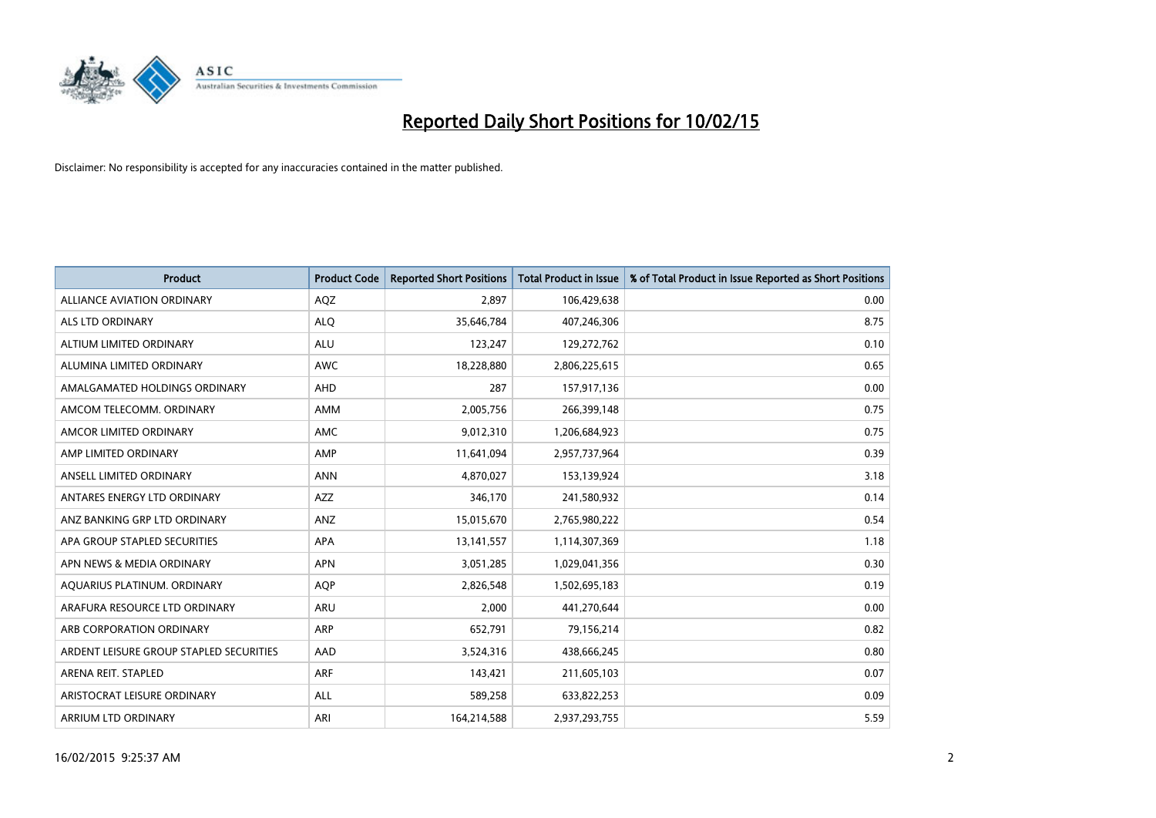

| <b>Product</b>                          | <b>Product Code</b> | <b>Reported Short Positions</b> | <b>Total Product in Issue</b> | % of Total Product in Issue Reported as Short Positions |
|-----------------------------------------|---------------------|---------------------------------|-------------------------------|---------------------------------------------------------|
| <b>ALLIANCE AVIATION ORDINARY</b>       | AQZ                 | 2.897                           | 106,429,638                   | 0.00                                                    |
| ALS LTD ORDINARY                        | <b>ALQ</b>          | 35,646,784                      | 407,246,306                   | 8.75                                                    |
| ALTIUM LIMITED ORDINARY                 | <b>ALU</b>          | 123,247                         | 129,272,762                   | 0.10                                                    |
| ALUMINA LIMITED ORDINARY                | <b>AWC</b>          | 18,228,880                      | 2,806,225,615                 | 0.65                                                    |
| AMALGAMATED HOLDINGS ORDINARY           | AHD                 | 287                             | 157,917,136                   | 0.00                                                    |
| AMCOM TELECOMM. ORDINARY                | AMM                 | 2,005,756                       | 266,399,148                   | 0.75                                                    |
| AMCOR LIMITED ORDINARY                  | <b>AMC</b>          | 9,012,310                       | 1,206,684,923                 | 0.75                                                    |
| AMP LIMITED ORDINARY                    | AMP                 | 11,641,094                      | 2,957,737,964                 | 0.39                                                    |
| ANSELL LIMITED ORDINARY                 | <b>ANN</b>          | 4,870,027                       | 153,139,924                   | 3.18                                                    |
| ANTARES ENERGY LTD ORDINARY             | <b>AZZ</b>          | 346,170                         | 241,580,932                   | 0.14                                                    |
| ANZ BANKING GRP LTD ORDINARY            | ANZ                 | 15,015,670                      | 2,765,980,222                 | 0.54                                                    |
| APA GROUP STAPLED SECURITIES            | APA                 | 13,141,557                      | 1,114,307,369                 | 1.18                                                    |
| APN NEWS & MEDIA ORDINARY               | <b>APN</b>          | 3,051,285                       | 1,029,041,356                 | 0.30                                                    |
| AQUARIUS PLATINUM. ORDINARY             | <b>AOP</b>          | 2,826,548                       | 1,502,695,183                 | 0.19                                                    |
| ARAFURA RESOURCE LTD ORDINARY           | <b>ARU</b>          | 2,000                           | 441,270,644                   | 0.00                                                    |
| ARB CORPORATION ORDINARY                | ARP                 | 652,791                         | 79,156,214                    | 0.82                                                    |
| ARDENT LEISURE GROUP STAPLED SECURITIES | AAD                 | 3,524,316                       | 438,666,245                   | 0.80                                                    |
| ARENA REIT. STAPLED                     | <b>ARF</b>          | 143,421                         | 211,605,103                   | 0.07                                                    |
| ARISTOCRAT LEISURE ORDINARY             | ALL                 | 589,258                         | 633,822,253                   | 0.09                                                    |
| ARRIUM LTD ORDINARY                     | ARI                 | 164,214,588                     | 2,937,293,755                 | 5.59                                                    |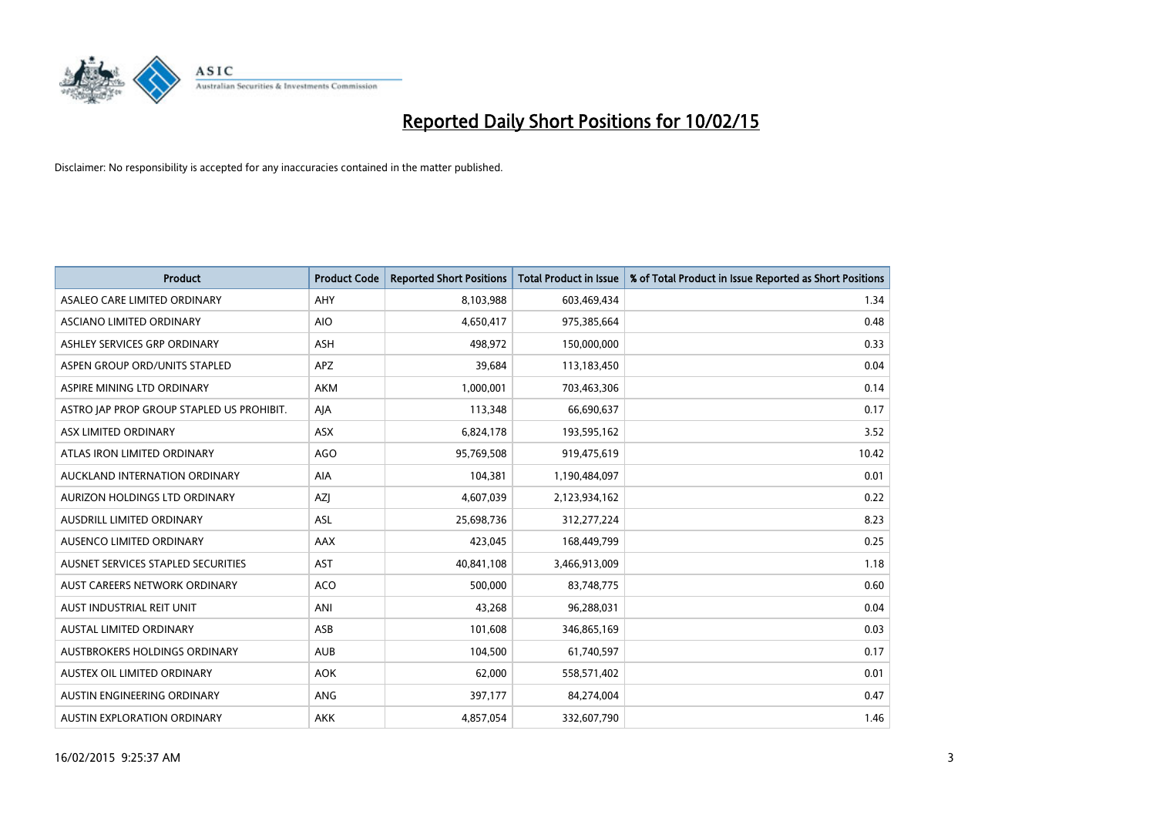

| <b>Product</b>                            | <b>Product Code</b> | <b>Reported Short Positions</b> | <b>Total Product in Issue</b> | % of Total Product in Issue Reported as Short Positions |
|-------------------------------------------|---------------------|---------------------------------|-------------------------------|---------------------------------------------------------|
| ASALEO CARE LIMITED ORDINARY              | AHY                 | 8,103,988                       | 603,469,434                   | 1.34                                                    |
| ASCIANO LIMITED ORDINARY                  | <b>AIO</b>          | 4,650,417                       | 975,385,664                   | 0.48                                                    |
| ASHLEY SERVICES GRP ORDINARY              | ASH                 | 498,972                         | 150,000,000                   | 0.33                                                    |
| ASPEN GROUP ORD/UNITS STAPLED             | <b>APZ</b>          | 39,684                          | 113,183,450                   | 0.04                                                    |
| ASPIRE MINING LTD ORDINARY                | <b>AKM</b>          | 1,000,001                       | 703,463,306                   | 0.14                                                    |
| ASTRO JAP PROP GROUP STAPLED US PROHIBIT. | AJA                 | 113,348                         | 66,690,637                    | 0.17                                                    |
| ASX LIMITED ORDINARY                      | ASX                 | 6,824,178                       | 193,595,162                   | 3.52                                                    |
| ATLAS IRON LIMITED ORDINARY               | <b>AGO</b>          | 95,769,508                      | 919,475,619                   | 10.42                                                   |
| AUCKLAND INTERNATION ORDINARY             | AIA                 | 104,381                         | 1,190,484,097                 | 0.01                                                    |
| AURIZON HOLDINGS LTD ORDINARY             | AZJ                 | 4,607,039                       | 2,123,934,162                 | 0.22                                                    |
| AUSDRILL LIMITED ORDINARY                 | ASL                 | 25,698,736                      | 312,277,224                   | 8.23                                                    |
| AUSENCO LIMITED ORDINARY                  | AAX                 | 423,045                         | 168,449,799                   | 0.25                                                    |
| AUSNET SERVICES STAPLED SECURITIES        | <b>AST</b>          | 40,841,108                      | 3,466,913,009                 | 1.18                                                    |
| AUST CAREERS NETWORK ORDINARY             | <b>ACO</b>          | 500,000                         | 83,748,775                    | 0.60                                                    |
| AUST INDUSTRIAL REIT UNIT                 | ANI                 | 43,268                          | 96,288,031                    | 0.04                                                    |
| <b>AUSTAL LIMITED ORDINARY</b>            | ASB                 | 101,608                         | 346,865,169                   | 0.03                                                    |
| AUSTBROKERS HOLDINGS ORDINARY             | <b>AUB</b>          | 104,500                         | 61,740,597                    | 0.17                                                    |
| AUSTEX OIL LIMITED ORDINARY               | <b>AOK</b>          | 62,000                          | 558,571,402                   | 0.01                                                    |
| AUSTIN ENGINEERING ORDINARY               | ANG                 | 397,177                         | 84,274,004                    | 0.47                                                    |
| AUSTIN EXPLORATION ORDINARY               | <b>AKK</b>          | 4,857,054                       | 332,607,790                   | 1.46                                                    |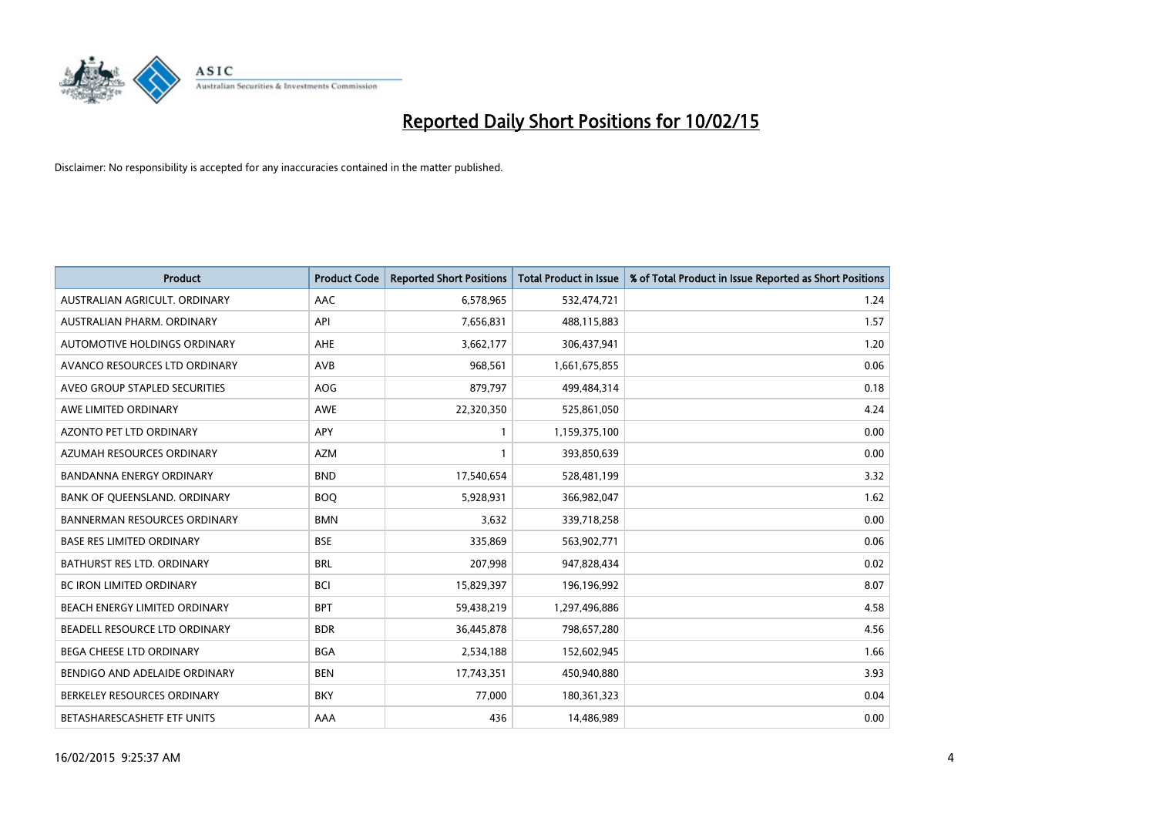

| <b>Product</b>                      | <b>Product Code</b> | <b>Reported Short Positions</b> | <b>Total Product in Issue</b> | % of Total Product in Issue Reported as Short Positions |
|-------------------------------------|---------------------|---------------------------------|-------------------------------|---------------------------------------------------------|
| AUSTRALIAN AGRICULT, ORDINARY       | AAC                 | 6,578,965                       | 532,474,721                   | 1.24                                                    |
| AUSTRALIAN PHARM. ORDINARY          | API                 | 7,656,831                       | 488,115,883                   | 1.57                                                    |
| AUTOMOTIVE HOLDINGS ORDINARY        | AHE                 | 3,662,177                       | 306,437,941                   | 1.20                                                    |
| AVANCO RESOURCES LTD ORDINARY       | AVB                 | 968,561                         | 1,661,675,855                 | 0.06                                                    |
| AVEO GROUP STAPLED SECURITIES       | AOG                 | 879,797                         | 499,484,314                   | 0.18                                                    |
| AWE LIMITED ORDINARY                | AWE                 | 22,320,350                      | 525,861,050                   | 4.24                                                    |
| <b>AZONTO PET LTD ORDINARY</b>      | APY                 | 1                               | 1,159,375,100                 | 0.00                                                    |
| AZUMAH RESOURCES ORDINARY           | <b>AZM</b>          | $\mathbf{1}$                    | 393,850,639                   | 0.00                                                    |
| <b>BANDANNA ENERGY ORDINARY</b>     | <b>BND</b>          | 17,540,654                      | 528,481,199                   | 3.32                                                    |
| BANK OF QUEENSLAND. ORDINARY        | <b>BOQ</b>          | 5,928,931                       | 366,982,047                   | 1.62                                                    |
| <b>BANNERMAN RESOURCES ORDINARY</b> | <b>BMN</b>          | 3,632                           | 339,718,258                   | 0.00                                                    |
| <b>BASE RES LIMITED ORDINARY</b>    | <b>BSE</b>          | 335,869                         | 563,902,771                   | 0.06                                                    |
| BATHURST RES LTD. ORDINARY          | <b>BRL</b>          | 207,998                         | 947,828,434                   | 0.02                                                    |
| <b>BC IRON LIMITED ORDINARY</b>     | <b>BCI</b>          | 15,829,397                      | 196,196,992                   | 8.07                                                    |
| BEACH ENERGY LIMITED ORDINARY       | <b>BPT</b>          | 59,438,219                      | 1,297,496,886                 | 4.58                                                    |
| BEADELL RESOURCE LTD ORDINARY       | <b>BDR</b>          | 36,445,878                      | 798,657,280                   | 4.56                                                    |
| <b>BEGA CHEESE LTD ORDINARY</b>     | <b>BGA</b>          | 2,534,188                       | 152,602,945                   | 1.66                                                    |
| BENDIGO AND ADELAIDE ORDINARY       | <b>BEN</b>          | 17,743,351                      | 450,940,880                   | 3.93                                                    |
| BERKELEY RESOURCES ORDINARY         | <b>BKY</b>          | 77,000                          | 180,361,323                   | 0.04                                                    |
| BETASHARESCASHETF ETF UNITS         | AAA                 | 436                             | 14,486,989                    | 0.00                                                    |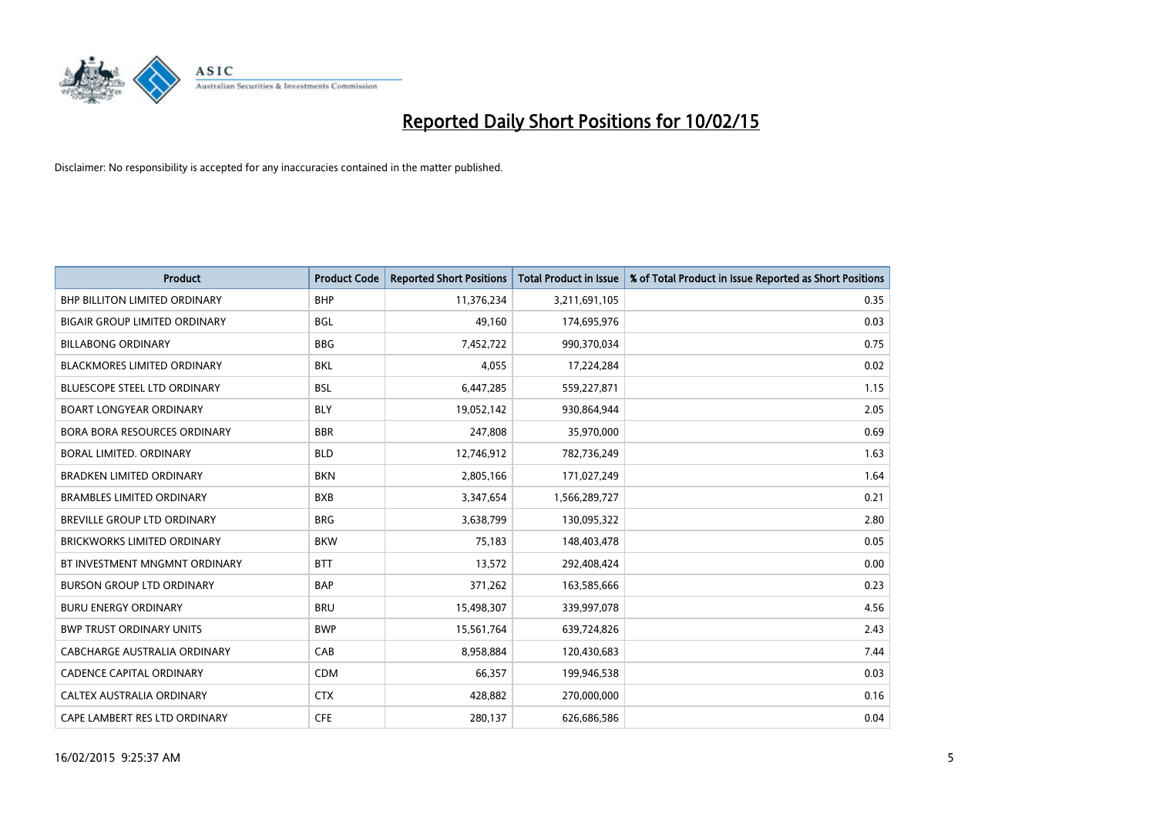

| <b>Product</b>                       | <b>Product Code</b> | <b>Reported Short Positions</b> | <b>Total Product in Issue</b> | % of Total Product in Issue Reported as Short Positions |
|--------------------------------------|---------------------|---------------------------------|-------------------------------|---------------------------------------------------------|
| <b>BHP BILLITON LIMITED ORDINARY</b> | <b>BHP</b>          | 11,376,234                      | 3,211,691,105                 | 0.35                                                    |
| <b>BIGAIR GROUP LIMITED ORDINARY</b> | <b>BGL</b>          | 49,160                          | 174,695,976                   | 0.03                                                    |
| <b>BILLABONG ORDINARY</b>            | <b>BBG</b>          | 7,452,722                       | 990,370,034                   | 0.75                                                    |
| BLACKMORES LIMITED ORDINARY          | <b>BKL</b>          | 4,055                           | 17,224,284                    | 0.02                                                    |
| <b>BLUESCOPE STEEL LTD ORDINARY</b>  | <b>BSL</b>          | 6,447,285                       | 559,227,871                   | 1.15                                                    |
| <b>BOART LONGYEAR ORDINARY</b>       | <b>BLY</b>          | 19,052,142                      | 930,864,944                   | 2.05                                                    |
| <b>BORA BORA RESOURCES ORDINARY</b>  | <b>BBR</b>          | 247,808                         | 35,970,000                    | 0.69                                                    |
| <b>BORAL LIMITED, ORDINARY</b>       | <b>BLD</b>          | 12,746,912                      | 782,736,249                   | 1.63                                                    |
| <b>BRADKEN LIMITED ORDINARY</b>      | <b>BKN</b>          | 2,805,166                       | 171,027,249                   | 1.64                                                    |
| <b>BRAMBLES LIMITED ORDINARY</b>     | <b>BXB</b>          | 3,347,654                       | 1,566,289,727                 | 0.21                                                    |
| <b>BREVILLE GROUP LTD ORDINARY</b>   | <b>BRG</b>          | 3,638,799                       | 130,095,322                   | 2.80                                                    |
| <b>BRICKWORKS LIMITED ORDINARY</b>   | <b>BKW</b>          | 75,183                          | 148,403,478                   | 0.05                                                    |
| BT INVESTMENT MNGMNT ORDINARY        | <b>BTT</b>          | 13,572                          | 292,408,424                   | 0.00                                                    |
| <b>BURSON GROUP LTD ORDINARY</b>     | <b>BAP</b>          | 371,262                         | 163,585,666                   | 0.23                                                    |
| <b>BURU ENERGY ORDINARY</b>          | <b>BRU</b>          | 15,498,307                      | 339,997,078                   | 4.56                                                    |
| <b>BWP TRUST ORDINARY UNITS</b>      | <b>BWP</b>          | 15,561,764                      | 639,724,826                   | 2.43                                                    |
| CABCHARGE AUSTRALIA ORDINARY         | CAB                 | 8,958,884                       | 120,430,683                   | 7.44                                                    |
| <b>CADENCE CAPITAL ORDINARY</b>      | <b>CDM</b>          | 66,357                          | 199,946,538                   | 0.03                                                    |
| CALTEX AUSTRALIA ORDINARY            | <b>CTX</b>          | 428,882                         | 270,000,000                   | 0.16                                                    |
| CAPE LAMBERT RES LTD ORDINARY        | <b>CFE</b>          | 280,137                         | 626,686,586                   | 0.04                                                    |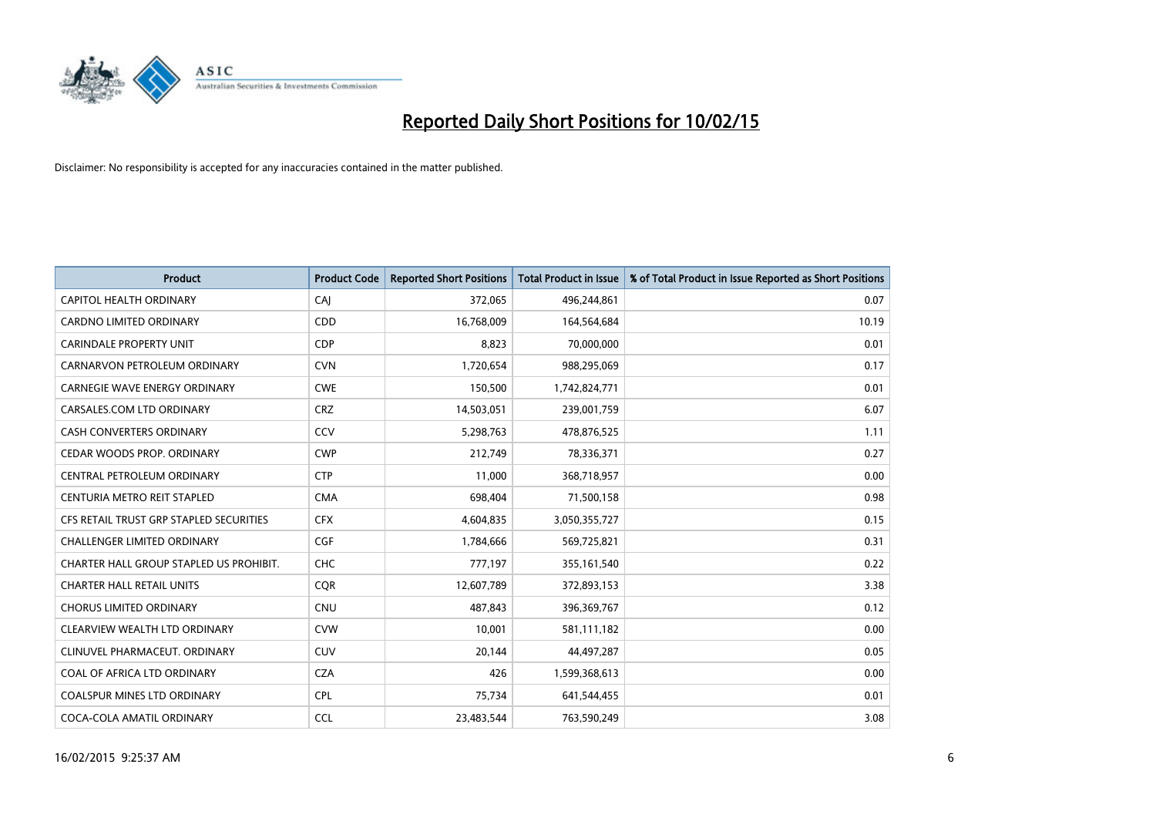

| <b>Product</b>                          | <b>Product Code</b> | <b>Reported Short Positions</b> | <b>Total Product in Issue</b> | % of Total Product in Issue Reported as Short Positions |
|-----------------------------------------|---------------------|---------------------------------|-------------------------------|---------------------------------------------------------|
| CAPITOL HEALTH ORDINARY                 | CAJ                 | 372,065                         | 496,244,861                   | 0.07                                                    |
| CARDNO LIMITED ORDINARY                 | <b>CDD</b>          | 16,768,009                      | 164,564,684                   | 10.19                                                   |
| <b>CARINDALE PROPERTY UNIT</b>          | <b>CDP</b>          | 8,823                           | 70,000,000                    | 0.01                                                    |
| CARNARVON PETROLEUM ORDINARY            | <b>CVN</b>          | 1,720,654                       | 988,295,069                   | 0.17                                                    |
| <b>CARNEGIE WAVE ENERGY ORDINARY</b>    | <b>CWE</b>          | 150,500                         | 1,742,824,771                 | 0.01                                                    |
| CARSALES.COM LTD ORDINARY               | <b>CRZ</b>          | 14,503,051                      | 239,001,759                   | 6.07                                                    |
| <b>CASH CONVERTERS ORDINARY</b>         | CCV                 | 5,298,763                       | 478,876,525                   | 1.11                                                    |
| CEDAR WOODS PROP. ORDINARY              | <b>CWP</b>          | 212,749                         | 78,336,371                    | 0.27                                                    |
| CENTRAL PETROLEUM ORDINARY              | <b>CTP</b>          | 11.000                          | 368,718,957                   | 0.00                                                    |
| CENTURIA METRO REIT STAPLED             | <b>CMA</b>          | 698,404                         | 71,500,158                    | 0.98                                                    |
| CFS RETAIL TRUST GRP STAPLED SECURITIES | <b>CFX</b>          | 4,604,835                       | 3,050,355,727                 | 0.15                                                    |
| <b>CHALLENGER LIMITED ORDINARY</b>      | <b>CGF</b>          | 1,784,666                       | 569,725,821                   | 0.31                                                    |
| CHARTER HALL GROUP STAPLED US PROHIBIT. | <b>CHC</b>          | 777,197                         | 355,161,540                   | 0.22                                                    |
| <b>CHARTER HALL RETAIL UNITS</b>        | <b>COR</b>          | 12,607,789                      | 372,893,153                   | 3.38                                                    |
| <b>CHORUS LIMITED ORDINARY</b>          | <b>CNU</b>          | 487,843                         | 396,369,767                   | 0.12                                                    |
| CLEARVIEW WEALTH LTD ORDINARY           | <b>CVW</b>          | 10,001                          | 581,111,182                   | 0.00                                                    |
| CLINUVEL PHARMACEUT. ORDINARY           | <b>CUV</b>          | 20,144                          | 44,497,287                    | 0.05                                                    |
| COAL OF AFRICA LTD ORDINARY             | <b>CZA</b>          | 426                             | 1,599,368,613                 | 0.00                                                    |
| <b>COALSPUR MINES LTD ORDINARY</b>      | <b>CPL</b>          | 75,734                          | 641,544,455                   | 0.01                                                    |
| COCA-COLA AMATIL ORDINARY               | <b>CCL</b>          | 23,483,544                      | 763,590,249                   | 3.08                                                    |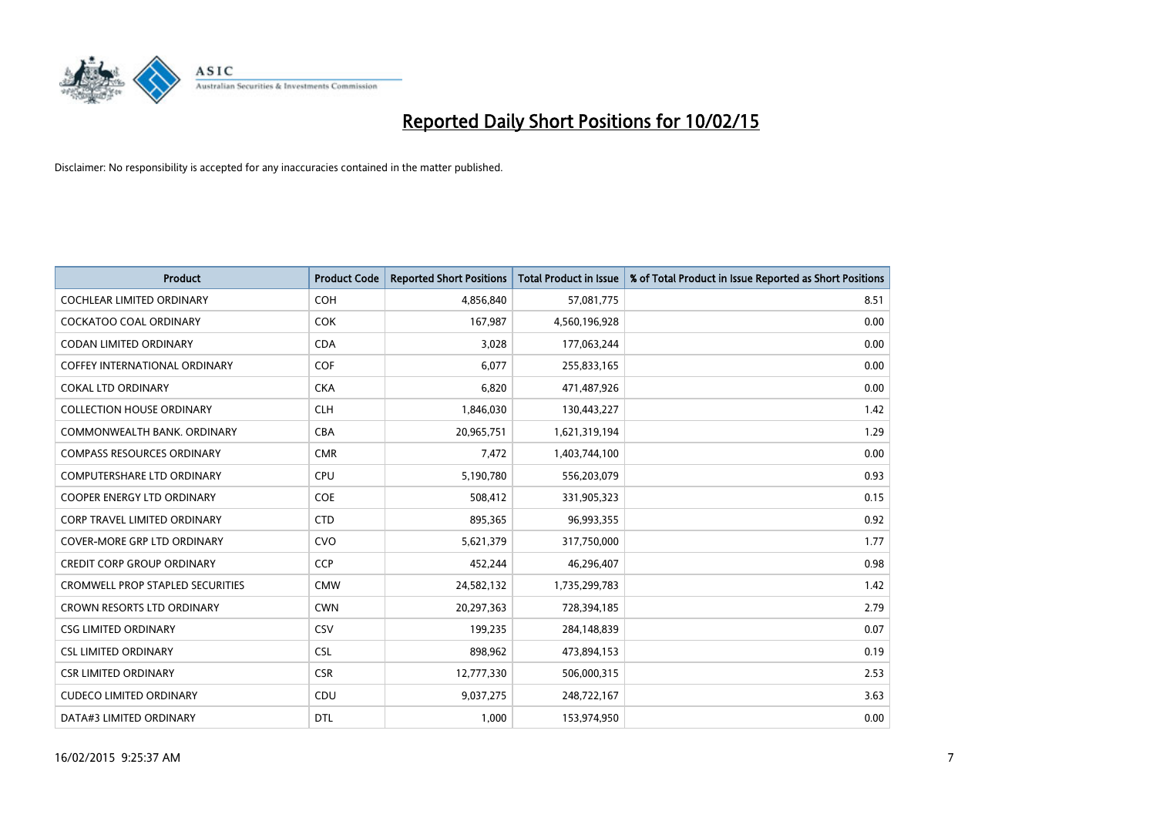

| <b>Product</b>                          | <b>Product Code</b> | <b>Reported Short Positions</b> | <b>Total Product in Issue</b> | % of Total Product in Issue Reported as Short Positions |
|-----------------------------------------|---------------------|---------------------------------|-------------------------------|---------------------------------------------------------|
| <b>COCHLEAR LIMITED ORDINARY</b>        | <b>COH</b>          | 4,856,840                       | 57,081,775                    | 8.51                                                    |
| <b>COCKATOO COAL ORDINARY</b>           | <b>COK</b>          | 167,987                         | 4,560,196,928                 | 0.00                                                    |
| <b>CODAN LIMITED ORDINARY</b>           | <b>CDA</b>          | 3,028                           | 177,063,244                   | 0.00                                                    |
| <b>COFFEY INTERNATIONAL ORDINARY</b>    | <b>COF</b>          | 6,077                           | 255,833,165                   | 0.00                                                    |
| <b>COKAL LTD ORDINARY</b>               | <b>CKA</b>          | 6,820                           | 471,487,926                   | 0.00                                                    |
| <b>COLLECTION HOUSE ORDINARY</b>        | <b>CLH</b>          | 1,846,030                       | 130,443,227                   | 1.42                                                    |
| COMMONWEALTH BANK, ORDINARY             | <b>CBA</b>          | 20,965,751                      | 1,621,319,194                 | 1.29                                                    |
| <b>COMPASS RESOURCES ORDINARY</b>       | <b>CMR</b>          | 7,472                           | 1,403,744,100                 | 0.00                                                    |
| <b>COMPUTERSHARE LTD ORDINARY</b>       | <b>CPU</b>          | 5,190,780                       | 556,203,079                   | 0.93                                                    |
| <b>COOPER ENERGY LTD ORDINARY</b>       | <b>COE</b>          | 508,412                         | 331,905,323                   | 0.15                                                    |
| <b>CORP TRAVEL LIMITED ORDINARY</b>     | <b>CTD</b>          | 895,365                         | 96,993,355                    | 0.92                                                    |
| <b>COVER-MORE GRP LTD ORDINARY</b>      | <b>CVO</b>          | 5,621,379                       | 317,750,000                   | 1.77                                                    |
| <b>CREDIT CORP GROUP ORDINARY</b>       | <b>CCP</b>          | 452,244                         | 46,296,407                    | 0.98                                                    |
| <b>CROMWELL PROP STAPLED SECURITIES</b> | <b>CMW</b>          | 24,582,132                      | 1,735,299,783                 | 1.42                                                    |
| <b>CROWN RESORTS LTD ORDINARY</b>       | <b>CWN</b>          | 20,297,363                      | 728,394,185                   | 2.79                                                    |
| <b>CSG LIMITED ORDINARY</b>             | CSV                 | 199,235                         | 284,148,839                   | 0.07                                                    |
| <b>CSL LIMITED ORDINARY</b>             | <b>CSL</b>          | 898,962                         | 473,894,153                   | 0.19                                                    |
| <b>CSR LIMITED ORDINARY</b>             | <b>CSR</b>          | 12,777,330                      | 506,000,315                   | 2.53                                                    |
| <b>CUDECO LIMITED ORDINARY</b>          | CDU                 | 9,037,275                       | 248,722,167                   | 3.63                                                    |
| DATA#3 LIMITED ORDINARY                 | <b>DTL</b>          | 1,000                           | 153,974,950                   | 0.00                                                    |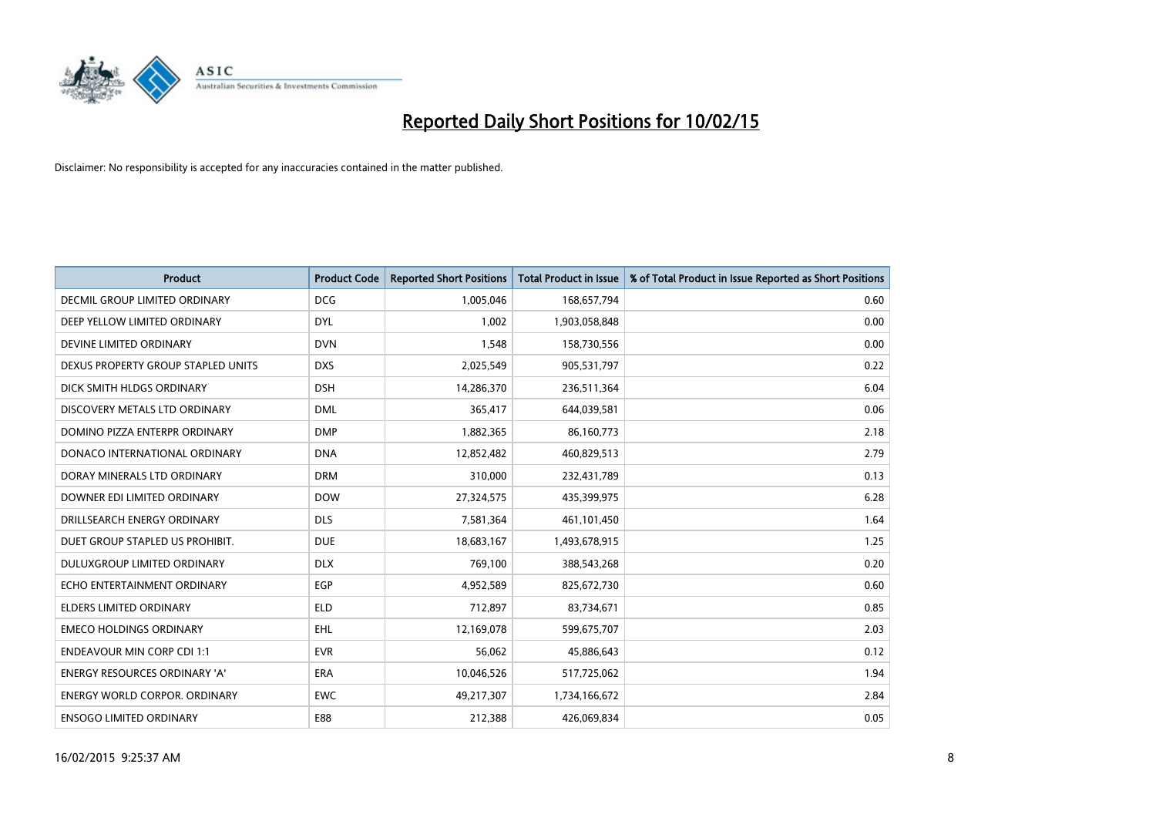

| <b>Product</b>                       | <b>Product Code</b> | <b>Reported Short Positions</b> | <b>Total Product in Issue</b> | % of Total Product in Issue Reported as Short Positions |
|--------------------------------------|---------------------|---------------------------------|-------------------------------|---------------------------------------------------------|
| DECMIL GROUP LIMITED ORDINARY        | <b>DCG</b>          | 1,005,046                       | 168,657,794                   | 0.60                                                    |
| DEEP YELLOW LIMITED ORDINARY         | <b>DYL</b>          | 1,002                           | 1,903,058,848                 | 0.00                                                    |
| DEVINE LIMITED ORDINARY              | <b>DVN</b>          | 1,548                           | 158,730,556                   | 0.00                                                    |
| DEXUS PROPERTY GROUP STAPLED UNITS   | <b>DXS</b>          | 2,025,549                       | 905,531,797                   | 0.22                                                    |
| DICK SMITH HLDGS ORDINARY            | <b>DSH</b>          | 14,286,370                      | 236,511,364                   | 6.04                                                    |
| DISCOVERY METALS LTD ORDINARY        | <b>DML</b>          | 365,417                         | 644,039,581                   | 0.06                                                    |
| DOMINO PIZZA ENTERPR ORDINARY        | <b>DMP</b>          | 1,882,365                       | 86,160,773                    | 2.18                                                    |
| DONACO INTERNATIONAL ORDINARY        | <b>DNA</b>          | 12,852,482                      | 460,829,513                   | 2.79                                                    |
| DORAY MINERALS LTD ORDINARY          | <b>DRM</b>          | 310,000                         | 232,431,789                   | 0.13                                                    |
| DOWNER EDI LIMITED ORDINARY          | <b>DOW</b>          | 27,324,575                      | 435,399,975                   | 6.28                                                    |
| DRILLSEARCH ENERGY ORDINARY          | <b>DLS</b>          | 7,581,364                       | 461,101,450                   | 1.64                                                    |
| DUET GROUP STAPLED US PROHIBIT.      | <b>DUE</b>          | 18,683,167                      | 1,493,678,915                 | 1.25                                                    |
| DULUXGROUP LIMITED ORDINARY          | <b>DLX</b>          | 769,100                         | 388,543,268                   | 0.20                                                    |
| ECHO ENTERTAINMENT ORDINARY          | EGP                 | 4,952,589                       | 825,672,730                   | 0.60                                                    |
| <b>ELDERS LIMITED ORDINARY</b>       | <b>ELD</b>          | 712,897                         | 83,734,671                    | 0.85                                                    |
| <b>EMECO HOLDINGS ORDINARY</b>       | <b>EHL</b>          | 12,169,078                      | 599,675,707                   | 2.03                                                    |
| <b>ENDEAVOUR MIN CORP CDI 1:1</b>    | <b>EVR</b>          | 56,062                          | 45,886,643                    | 0.12                                                    |
| ENERGY RESOURCES ORDINARY 'A'        | <b>ERA</b>          | 10,046,526                      | 517,725,062                   | 1.94                                                    |
| <b>ENERGY WORLD CORPOR, ORDINARY</b> | <b>EWC</b>          | 49,217,307                      | 1,734,166,672                 | 2.84                                                    |
| <b>ENSOGO LIMITED ORDINARY</b>       | E88                 | 212,388                         | 426,069,834                   | 0.05                                                    |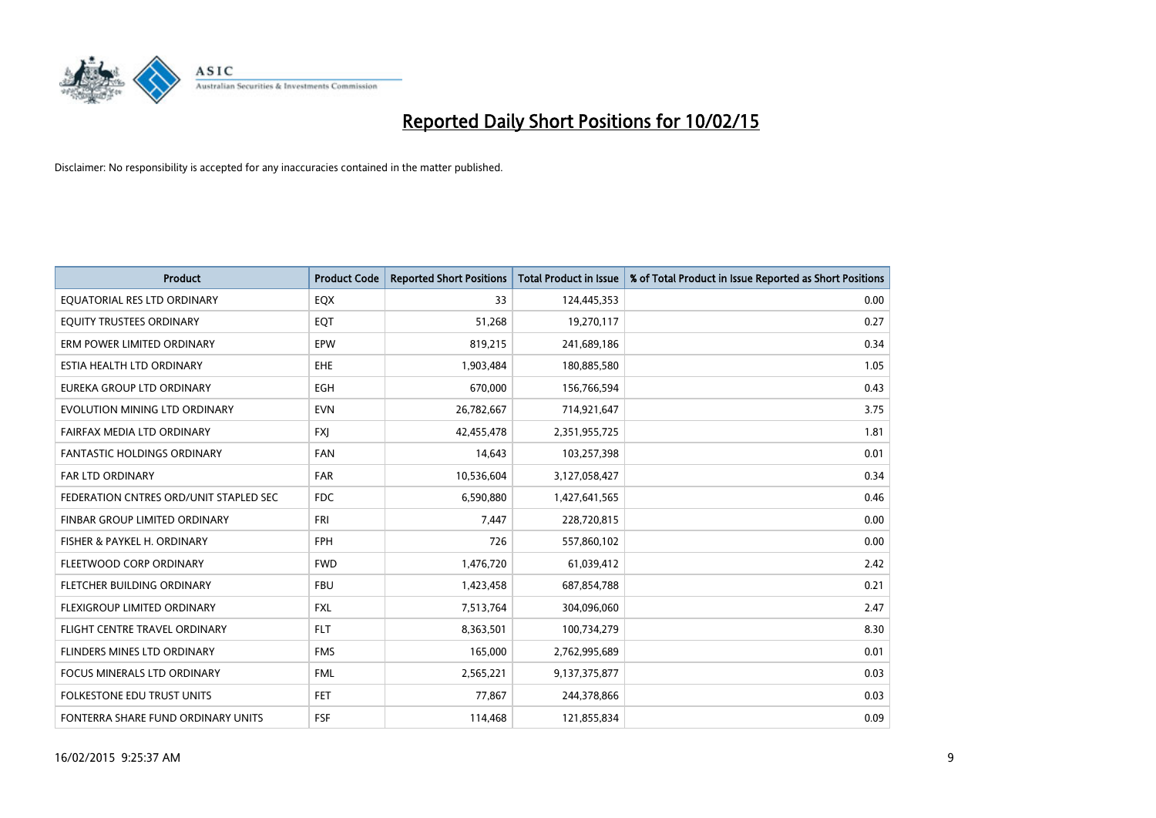

| <b>Product</b>                         | <b>Product Code</b> | <b>Reported Short Positions</b> | <b>Total Product in Issue</b> | % of Total Product in Issue Reported as Short Positions |
|----------------------------------------|---------------------|---------------------------------|-------------------------------|---------------------------------------------------------|
| EQUATORIAL RES LTD ORDINARY            | EQX                 | 33                              | 124,445,353                   | 0.00                                                    |
| EQUITY TRUSTEES ORDINARY               | EQT                 | 51,268                          | 19,270,117                    | 0.27                                                    |
| ERM POWER LIMITED ORDINARY             | EPW                 | 819,215                         | 241,689,186                   | 0.34                                                    |
| ESTIA HEALTH LTD ORDINARY              | <b>EHE</b>          | 1,903,484                       | 180,885,580                   | 1.05                                                    |
| EUREKA GROUP LTD ORDINARY              | <b>EGH</b>          | 670,000                         | 156,766,594                   | 0.43                                                    |
| EVOLUTION MINING LTD ORDINARY          | <b>EVN</b>          | 26,782,667                      | 714,921,647                   | 3.75                                                    |
| FAIRFAX MEDIA LTD ORDINARY             | <b>FXI</b>          | 42,455,478                      | 2,351,955,725                 | 1.81                                                    |
| FANTASTIC HOLDINGS ORDINARY            | <b>FAN</b>          | 14,643                          | 103,257,398                   | 0.01                                                    |
| <b>FAR LTD ORDINARY</b>                | <b>FAR</b>          | 10,536,604                      | 3,127,058,427                 | 0.34                                                    |
| FEDERATION CNTRES ORD/UNIT STAPLED SEC | <b>FDC</b>          | 6,590,880                       | 1,427,641,565                 | 0.46                                                    |
| FINBAR GROUP LIMITED ORDINARY          | <b>FRI</b>          | 7,447                           | 228,720,815                   | 0.00                                                    |
| FISHER & PAYKEL H. ORDINARY            | <b>FPH</b>          | 726                             | 557,860,102                   | 0.00                                                    |
| FLEETWOOD CORP ORDINARY                | <b>FWD</b>          | 1,476,720                       | 61,039,412                    | 2.42                                                    |
| FLETCHER BUILDING ORDINARY             | <b>FBU</b>          | 1,423,458                       | 687,854,788                   | 0.21                                                    |
| FLEXIGROUP LIMITED ORDINARY            | <b>FXL</b>          | 7,513,764                       | 304,096,060                   | 2.47                                                    |
| FLIGHT CENTRE TRAVEL ORDINARY          | <b>FLT</b>          | 8,363,501                       | 100,734,279                   | 8.30                                                    |
| FLINDERS MINES LTD ORDINARY            | <b>FMS</b>          | 165,000                         | 2,762,995,689                 | 0.01                                                    |
| FOCUS MINERALS LTD ORDINARY            | <b>FML</b>          | 2,565,221                       | 9,137,375,877                 | 0.03                                                    |
| <b>FOLKESTONE EDU TRUST UNITS</b>      | <b>FET</b>          | 77,867                          | 244,378,866                   | 0.03                                                    |
| FONTERRA SHARE FUND ORDINARY UNITS     | <b>FSF</b>          | 114,468                         | 121,855,834                   | 0.09                                                    |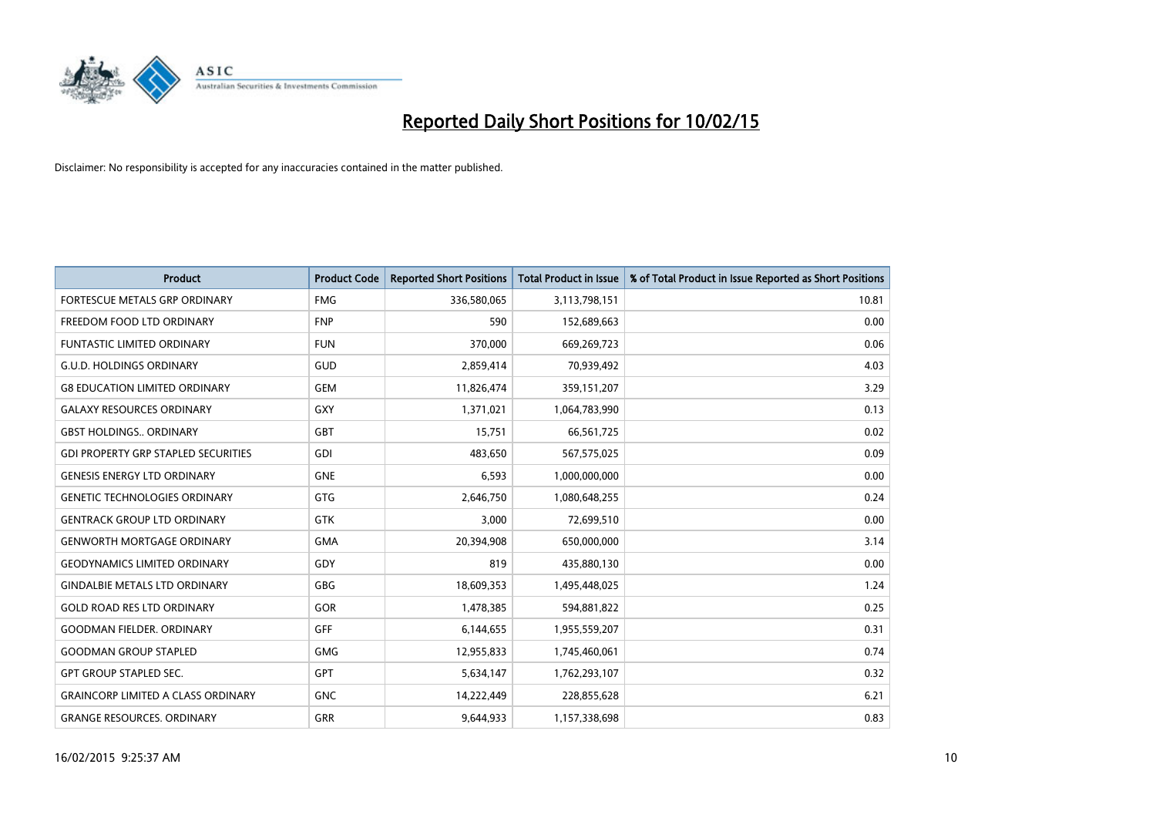

| <b>Product</b>                             | <b>Product Code</b> | <b>Reported Short Positions</b> | <b>Total Product in Issue</b> | % of Total Product in Issue Reported as Short Positions |
|--------------------------------------------|---------------------|---------------------------------|-------------------------------|---------------------------------------------------------|
| FORTESCUE METALS GRP ORDINARY              | <b>FMG</b>          | 336,580,065                     | 3,113,798,151                 | 10.81                                                   |
| FREEDOM FOOD LTD ORDINARY                  | <b>FNP</b>          | 590                             | 152,689,663                   | 0.00                                                    |
| <b>FUNTASTIC LIMITED ORDINARY</b>          | <b>FUN</b>          | 370,000                         | 669,269,723                   | 0.06                                                    |
| <b>G.U.D. HOLDINGS ORDINARY</b>            | GUD                 | 2,859,414                       | 70,939,492                    | 4.03                                                    |
| <b>G8 EDUCATION LIMITED ORDINARY</b>       | <b>GEM</b>          | 11,826,474                      | 359,151,207                   | 3.29                                                    |
| <b>GALAXY RESOURCES ORDINARY</b>           | GXY                 | 1,371,021                       | 1,064,783,990                 | 0.13                                                    |
| <b>GBST HOLDINGS., ORDINARY</b>            | <b>GBT</b>          | 15,751                          | 66,561,725                    | 0.02                                                    |
| <b>GDI PROPERTY GRP STAPLED SECURITIES</b> | <b>GDI</b>          | 483,650                         | 567,575,025                   | 0.09                                                    |
| <b>GENESIS ENERGY LTD ORDINARY</b>         | <b>GNE</b>          | 6,593                           | 1,000,000,000                 | 0.00                                                    |
| <b>GENETIC TECHNOLOGIES ORDINARY</b>       | <b>GTG</b>          | 2,646,750                       | 1,080,648,255                 | 0.24                                                    |
| <b>GENTRACK GROUP LTD ORDINARY</b>         | GTK                 | 3,000                           | 72,699,510                    | 0.00                                                    |
| <b>GENWORTH MORTGAGE ORDINARY</b>          | <b>GMA</b>          | 20,394,908                      | 650,000,000                   | 3.14                                                    |
| <b>GEODYNAMICS LIMITED ORDINARY</b>        | GDY                 | 819                             | 435,880,130                   | 0.00                                                    |
| <b>GINDALBIE METALS LTD ORDINARY</b>       | GBG                 | 18,609,353                      | 1,495,448,025                 | 1.24                                                    |
| <b>GOLD ROAD RES LTD ORDINARY</b>          | GOR                 | 1,478,385                       | 594,881,822                   | 0.25                                                    |
| <b>GOODMAN FIELDER, ORDINARY</b>           | <b>GFF</b>          | 6,144,655                       | 1,955,559,207                 | 0.31                                                    |
| <b>GOODMAN GROUP STAPLED</b>               | <b>GMG</b>          | 12,955,833                      | 1,745,460,061                 | 0.74                                                    |
| <b>GPT GROUP STAPLED SEC.</b>              | <b>GPT</b>          | 5,634,147                       | 1,762,293,107                 | 0.32                                                    |
| <b>GRAINCORP LIMITED A CLASS ORDINARY</b>  | <b>GNC</b>          | 14,222,449                      | 228,855,628                   | 6.21                                                    |
| <b>GRANGE RESOURCES. ORDINARY</b>          | GRR                 | 9,644,933                       | 1,157,338,698                 | 0.83                                                    |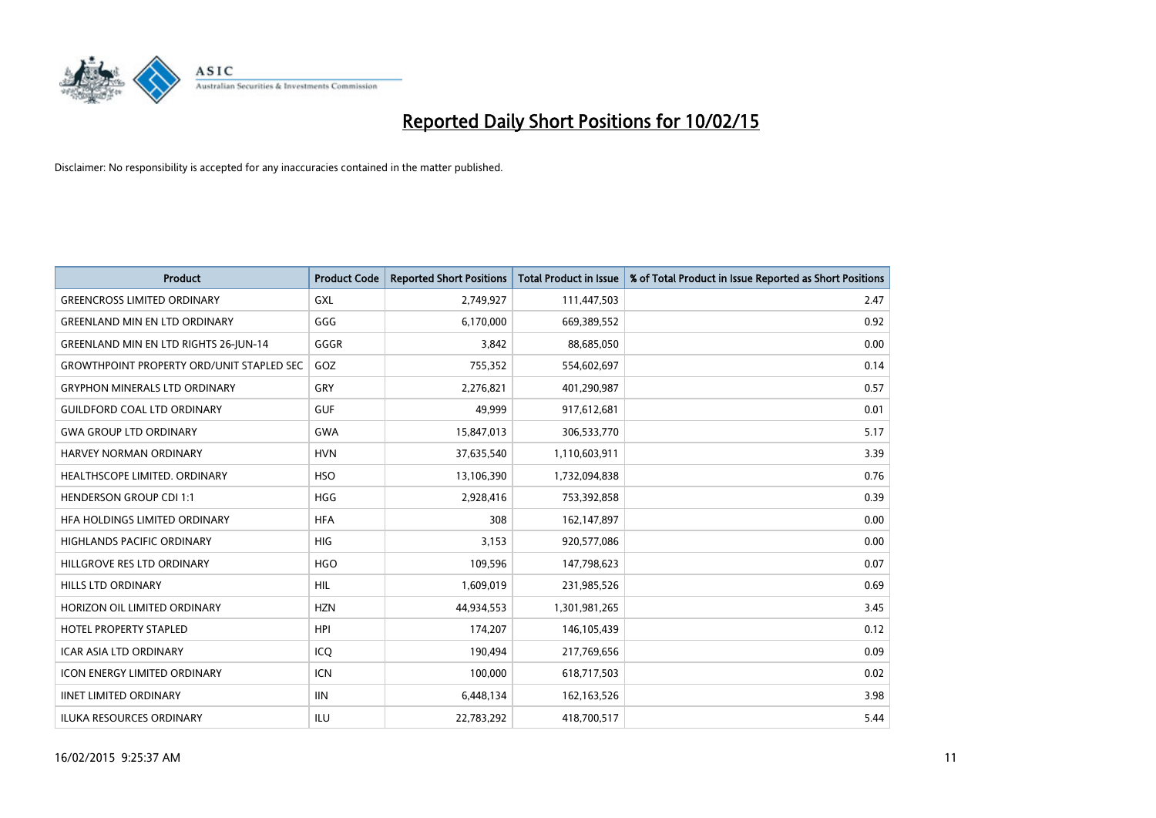

| <b>Product</b>                                   | <b>Product Code</b> | <b>Reported Short Positions</b> | <b>Total Product in Issue</b> | % of Total Product in Issue Reported as Short Positions |
|--------------------------------------------------|---------------------|---------------------------------|-------------------------------|---------------------------------------------------------|
| <b>GREENCROSS LIMITED ORDINARY</b>               | GXL                 | 2,749,927                       | 111,447,503                   | 2.47                                                    |
| <b>GREENLAND MIN EN LTD ORDINARY</b>             | GGG                 | 6,170,000                       | 669,389,552                   | 0.92                                                    |
| <b>GREENLAND MIN EN LTD RIGHTS 26-JUN-14</b>     | GGGR                | 3,842                           | 88,685,050                    | 0.00                                                    |
| <b>GROWTHPOINT PROPERTY ORD/UNIT STAPLED SEC</b> | GOZ                 | 755,352                         | 554,602,697                   | 0.14                                                    |
| <b>GRYPHON MINERALS LTD ORDINARY</b>             | GRY                 | 2,276,821                       | 401,290,987                   | 0.57                                                    |
| <b>GUILDFORD COAL LTD ORDINARY</b>               | <b>GUF</b>          | 49,999                          | 917,612,681                   | 0.01                                                    |
| <b>GWA GROUP LTD ORDINARY</b>                    | <b>GWA</b>          | 15,847,013                      | 306,533,770                   | 5.17                                                    |
| <b>HARVEY NORMAN ORDINARY</b>                    | <b>HVN</b>          | 37,635,540                      | 1,110,603,911                 | 3.39                                                    |
| HEALTHSCOPE LIMITED. ORDINARY                    | <b>HSO</b>          | 13,106,390                      | 1,732,094,838                 | 0.76                                                    |
| <b>HENDERSON GROUP CDI 1:1</b>                   | <b>HGG</b>          | 2,928,416                       | 753,392,858                   | 0.39                                                    |
| HFA HOLDINGS LIMITED ORDINARY                    | <b>HFA</b>          | 308                             | 162,147,897                   | 0.00                                                    |
| <b>HIGHLANDS PACIFIC ORDINARY</b>                | HIG                 | 3,153                           | 920,577,086                   | 0.00                                                    |
| HILLGROVE RES LTD ORDINARY                       | <b>HGO</b>          | 109,596                         | 147,798,623                   | 0.07                                                    |
| <b>HILLS LTD ORDINARY</b>                        | <b>HIL</b>          | 1,609,019                       | 231,985,526                   | 0.69                                                    |
| HORIZON OIL LIMITED ORDINARY                     | <b>HZN</b>          | 44,934,553                      | 1,301,981,265                 | 3.45                                                    |
| <b>HOTEL PROPERTY STAPLED</b>                    | <b>HPI</b>          | 174,207                         | 146,105,439                   | 0.12                                                    |
| <b>ICAR ASIA LTD ORDINARY</b>                    | ICQ                 | 190,494                         | 217,769,656                   | 0.09                                                    |
| ICON ENERGY LIMITED ORDINARY                     | <b>ICN</b>          | 100,000                         | 618,717,503                   | 0.02                                                    |
| <b>IINET LIMITED ORDINARY</b>                    | <b>IIN</b>          | 6,448,134                       | 162,163,526                   | 3.98                                                    |
| <b>ILUKA RESOURCES ORDINARY</b>                  | ILU                 | 22,783,292                      | 418,700,517                   | 5.44                                                    |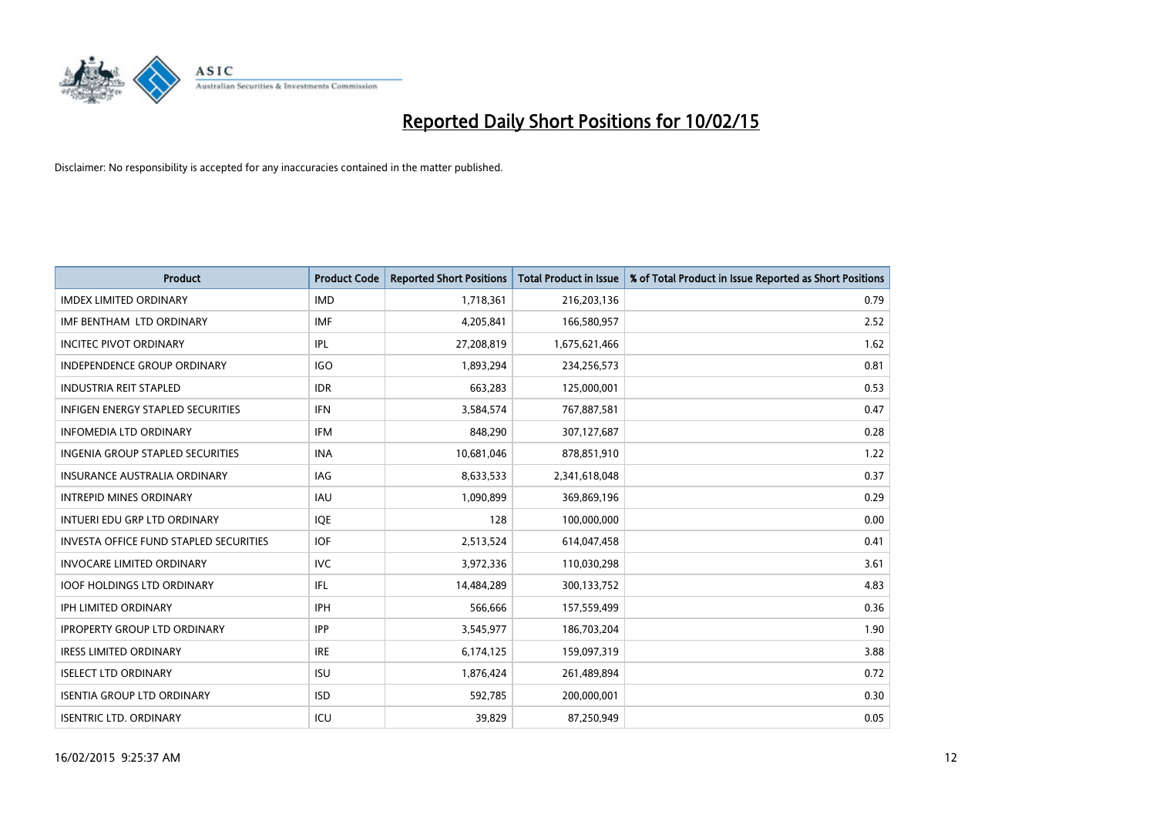

| <b>Product</b>                                | <b>Product Code</b> | <b>Reported Short Positions</b> | <b>Total Product in Issue</b> | % of Total Product in Issue Reported as Short Positions |
|-----------------------------------------------|---------------------|---------------------------------|-------------------------------|---------------------------------------------------------|
| <b>IMDEX LIMITED ORDINARY</b>                 | <b>IMD</b>          | 1,718,361                       | 216,203,136                   | 0.79                                                    |
| IMF BENTHAM LTD ORDINARY                      | <b>IMF</b>          | 4,205,841                       | 166,580,957                   | 2.52                                                    |
| <b>INCITEC PIVOT ORDINARY</b>                 | IPL                 | 27,208,819                      | 1,675,621,466                 | 1.62                                                    |
| INDEPENDENCE GROUP ORDINARY                   | <b>IGO</b>          | 1,893,294                       | 234,256,573                   | 0.81                                                    |
| <b>INDUSTRIA REIT STAPLED</b>                 | <b>IDR</b>          | 663,283                         | 125,000,001                   | 0.53                                                    |
| <b>INFIGEN ENERGY STAPLED SECURITIES</b>      | <b>IFN</b>          | 3,584,574                       | 767,887,581                   | 0.47                                                    |
| <b>INFOMEDIA LTD ORDINARY</b>                 | <b>IFM</b>          | 848,290                         | 307,127,687                   | 0.28                                                    |
| <b>INGENIA GROUP STAPLED SECURITIES</b>       | <b>INA</b>          | 10,681,046                      | 878,851,910                   | 1.22                                                    |
| INSURANCE AUSTRALIA ORDINARY                  | IAG                 | 8,633,533                       | 2,341,618,048                 | 0.37                                                    |
| <b>INTREPID MINES ORDINARY</b>                | <b>IAU</b>          | 1,090,899                       | 369,869,196                   | 0.29                                                    |
| INTUERI EDU GRP LTD ORDINARY                  | IQE                 | 128                             | 100,000,000                   | 0.00                                                    |
| <b>INVESTA OFFICE FUND STAPLED SECURITIES</b> | <b>IOF</b>          | 2,513,524                       | 614,047,458                   | 0.41                                                    |
| <b>INVOCARE LIMITED ORDINARY</b>              | <b>IVC</b>          | 3,972,336                       | 110,030,298                   | 3.61                                                    |
| <b>IOOF HOLDINGS LTD ORDINARY</b>             | IFL                 | 14,484,289                      | 300,133,752                   | 4.83                                                    |
| <b>IPH LIMITED ORDINARY</b>                   | IPH                 | 566,666                         | 157,559,499                   | 0.36                                                    |
| <b>IPROPERTY GROUP LTD ORDINARY</b>           | <b>IPP</b>          | 3,545,977                       | 186,703,204                   | 1.90                                                    |
| <b>IRESS LIMITED ORDINARY</b>                 | <b>IRE</b>          | 6,174,125                       | 159,097,319                   | 3.88                                                    |
| <b>ISELECT LTD ORDINARY</b>                   | <b>ISU</b>          | 1,876,424                       | 261,489,894                   | 0.72                                                    |
| <b>ISENTIA GROUP LTD ORDINARY</b>             | <b>ISD</b>          | 592,785                         | 200,000,001                   | 0.30                                                    |
| <b>ISENTRIC LTD. ORDINARY</b>                 | ICU                 | 39.829                          | 87,250,949                    | 0.05                                                    |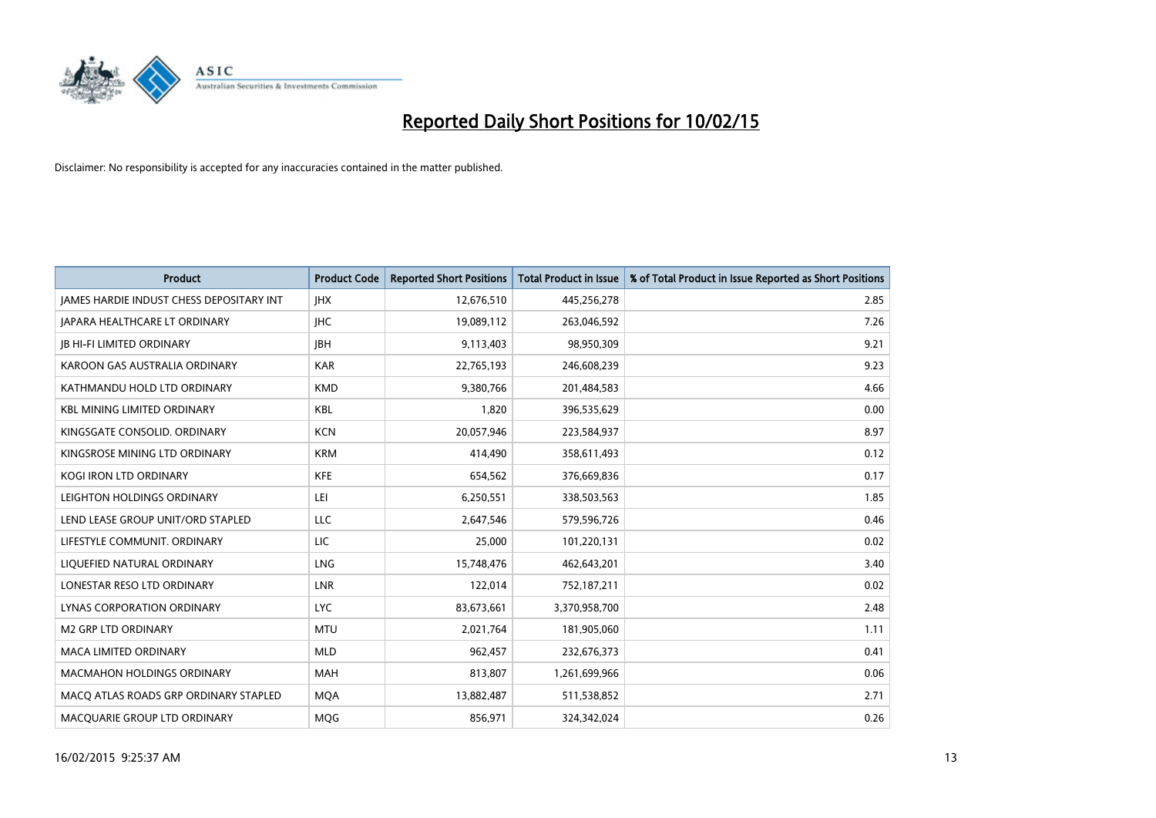

| <b>Product</b>                                  | <b>Product Code</b> | <b>Reported Short Positions</b> | <b>Total Product in Issue</b> | % of Total Product in Issue Reported as Short Positions |
|-------------------------------------------------|---------------------|---------------------------------|-------------------------------|---------------------------------------------------------|
| <b>JAMES HARDIE INDUST CHESS DEPOSITARY INT</b> | <b>IHX</b>          | 12,676,510                      | 445,256,278                   | 2.85                                                    |
| <b>JAPARA HEALTHCARE LT ORDINARY</b>            | <b>IHC</b>          | 19,089,112                      | 263,046,592                   | 7.26                                                    |
| <b>JB HI-FI LIMITED ORDINARY</b>                | <b>JBH</b>          | 9,113,403                       | 98,950,309                    | 9.21                                                    |
| KAROON GAS AUSTRALIA ORDINARY                   | <b>KAR</b>          | 22,765,193                      | 246,608,239                   | 9.23                                                    |
| KATHMANDU HOLD LTD ORDINARY                     | <b>KMD</b>          | 9.380.766                       | 201,484,583                   | 4.66                                                    |
| <b>KBL MINING LIMITED ORDINARY</b>              | <b>KBL</b>          | 1,820                           | 396,535,629                   | 0.00                                                    |
| KINGSGATE CONSOLID. ORDINARY                    | <b>KCN</b>          | 20,057,946                      | 223,584,937                   | 8.97                                                    |
| KINGSROSE MINING LTD ORDINARY                   | <b>KRM</b>          | 414,490                         | 358,611,493                   | 0.12                                                    |
| KOGI IRON LTD ORDINARY                          | <b>KFE</b>          | 654,562                         | 376,669,836                   | 0.17                                                    |
| LEIGHTON HOLDINGS ORDINARY                      | LEI                 | 6,250,551                       | 338,503,563                   | 1.85                                                    |
| LEND LEASE GROUP UNIT/ORD STAPLED               | LLC                 | 2,647,546                       | 579,596,726                   | 0.46                                                    |
| LIFESTYLE COMMUNIT, ORDINARY                    | LIC                 | 25,000                          | 101,220,131                   | 0.02                                                    |
| LIQUEFIED NATURAL ORDINARY                      | <b>LNG</b>          | 15,748,476                      | 462,643,201                   | 3.40                                                    |
| LONESTAR RESO LTD ORDINARY                      | <b>LNR</b>          | 122,014                         | 752,187,211                   | 0.02                                                    |
| LYNAS CORPORATION ORDINARY                      | <b>LYC</b>          | 83,673,661                      | 3,370,958,700                 | 2.48                                                    |
| <b>M2 GRP LTD ORDINARY</b>                      | <b>MTU</b>          | 2,021,764                       | 181,905,060                   | 1.11                                                    |
| <b>MACA LIMITED ORDINARY</b>                    | <b>MLD</b>          | 962,457                         | 232,676,373                   | 0.41                                                    |
| MACMAHON HOLDINGS ORDINARY                      | <b>MAH</b>          | 813,807                         | 1,261,699,966                 | 0.06                                                    |
| MACO ATLAS ROADS GRP ORDINARY STAPLED           | <b>MOA</b>          | 13,882,487                      | 511,538,852                   | 2.71                                                    |
| MACQUARIE GROUP LTD ORDINARY                    | <b>MOG</b>          | 856,971                         | 324,342,024                   | 0.26                                                    |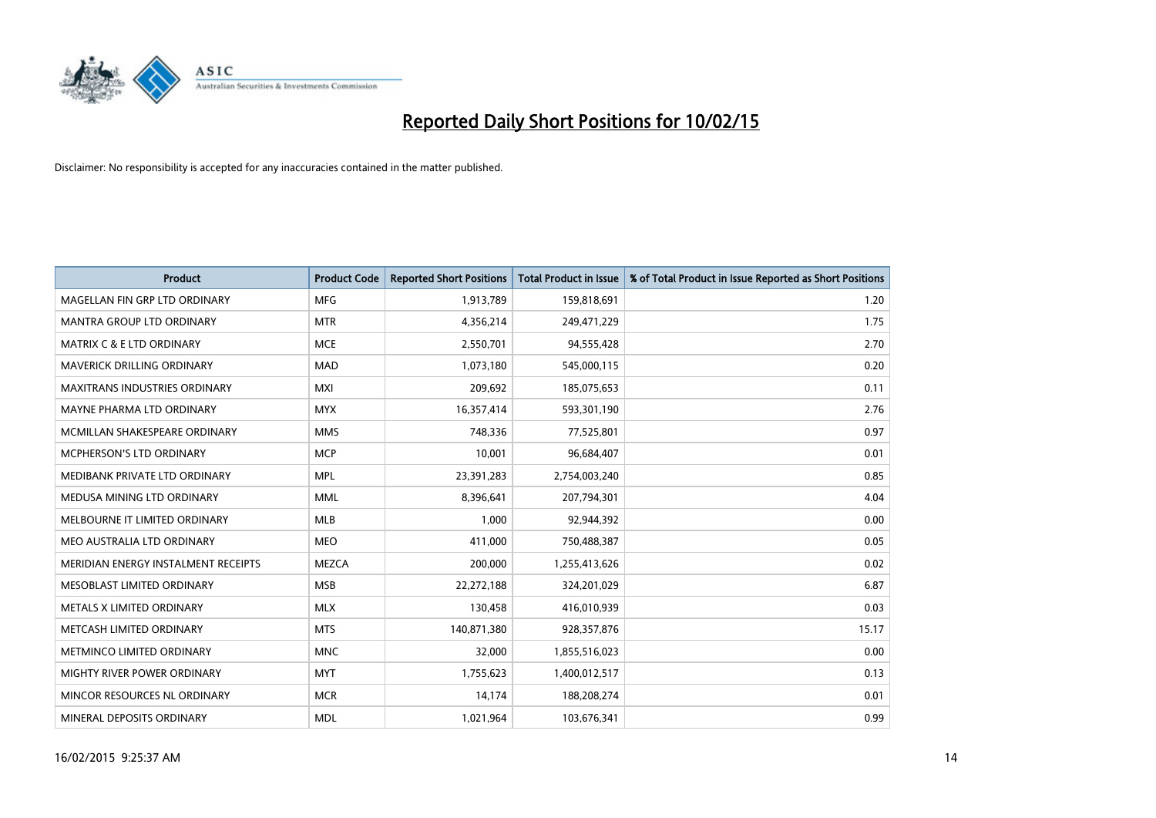

| <b>Product</b>                       | <b>Product Code</b> | <b>Reported Short Positions</b> | <b>Total Product in Issue</b> | % of Total Product in Issue Reported as Short Positions |
|--------------------------------------|---------------------|---------------------------------|-------------------------------|---------------------------------------------------------|
| MAGELLAN FIN GRP LTD ORDINARY        | <b>MFG</b>          | 1,913,789                       | 159,818,691                   | 1.20                                                    |
| MANTRA GROUP LTD ORDINARY            | <b>MTR</b>          | 4,356,214                       | 249,471,229                   | 1.75                                                    |
| <b>MATRIX C &amp; E LTD ORDINARY</b> | <b>MCE</b>          | 2,550,701                       | 94,555,428                    | 2.70                                                    |
| MAVERICK DRILLING ORDINARY           | <b>MAD</b>          | 1,073,180                       | 545,000,115                   | 0.20                                                    |
| <b>MAXITRANS INDUSTRIES ORDINARY</b> | <b>MXI</b>          | 209,692                         | 185,075,653                   | 0.11                                                    |
| MAYNE PHARMA LTD ORDINARY            | <b>MYX</b>          | 16,357,414                      | 593,301,190                   | 2.76                                                    |
| MCMILLAN SHAKESPEARE ORDINARY        | <b>MMS</b>          | 748,336                         | 77,525,801                    | 0.97                                                    |
| MCPHERSON'S LTD ORDINARY             | <b>MCP</b>          | 10,001                          | 96,684,407                    | 0.01                                                    |
| MEDIBANK PRIVATE LTD ORDINARY        | <b>MPL</b>          | 23,391,283                      | 2,754,003,240                 | 0.85                                                    |
| MEDUSA MINING LTD ORDINARY           | <b>MML</b>          | 8,396,641                       | 207,794,301                   | 4.04                                                    |
| MELBOURNE IT LIMITED ORDINARY        | MLB                 | 1,000                           | 92,944,392                    | 0.00                                                    |
| MEO AUSTRALIA LTD ORDINARY           | <b>MEO</b>          | 411,000                         | 750,488,387                   | 0.05                                                    |
| MERIDIAN ENERGY INSTALMENT RECEIPTS  | <b>MEZCA</b>        | 200,000                         | 1,255,413,626                 | 0.02                                                    |
| MESOBLAST LIMITED ORDINARY           | <b>MSB</b>          | 22,272,188                      | 324,201,029                   | 6.87                                                    |
| METALS X LIMITED ORDINARY            | <b>MLX</b>          | 130,458                         | 416,010,939                   | 0.03                                                    |
| METCASH LIMITED ORDINARY             | <b>MTS</b>          | 140,871,380                     | 928,357,876                   | 15.17                                                   |
| METMINCO LIMITED ORDINARY            | <b>MNC</b>          | 32,000                          | 1,855,516,023                 | 0.00                                                    |
| MIGHTY RIVER POWER ORDINARY          | <b>MYT</b>          | 1,755,623                       | 1,400,012,517                 | 0.13                                                    |
| MINCOR RESOURCES NL ORDINARY         | <b>MCR</b>          | 14,174                          | 188,208,274                   | 0.01                                                    |
| MINERAL DEPOSITS ORDINARY            | <b>MDL</b>          | 1,021,964                       | 103,676,341                   | 0.99                                                    |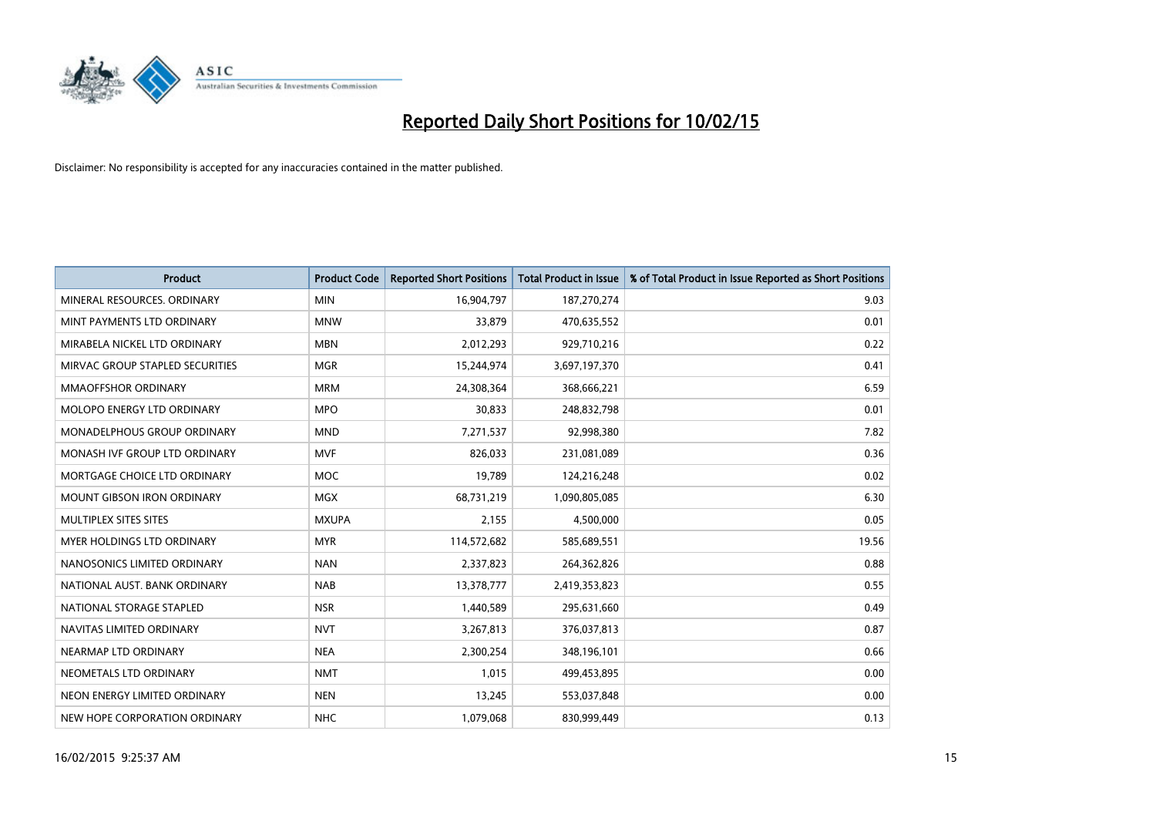

| <b>Product</b>                     | <b>Product Code</b> | <b>Reported Short Positions</b> | <b>Total Product in Issue</b> | % of Total Product in Issue Reported as Short Positions |
|------------------------------------|---------------------|---------------------------------|-------------------------------|---------------------------------------------------------|
| MINERAL RESOURCES, ORDINARY        | <b>MIN</b>          | 16,904,797                      | 187,270,274                   | 9.03                                                    |
| MINT PAYMENTS LTD ORDINARY         | <b>MNW</b>          | 33,879                          | 470,635,552                   | 0.01                                                    |
| MIRABELA NICKEL LTD ORDINARY       | <b>MBN</b>          | 2,012,293                       | 929,710,216                   | 0.22                                                    |
| MIRVAC GROUP STAPLED SECURITIES    | <b>MGR</b>          | 15,244,974                      | 3,697,197,370                 | 0.41                                                    |
| MMAOFFSHOR ORDINARY                | <b>MRM</b>          | 24,308,364                      | 368,666,221                   | 6.59                                                    |
| MOLOPO ENERGY LTD ORDINARY         | <b>MPO</b>          | 30,833                          | 248,832,798                   | 0.01                                                    |
| <b>MONADELPHOUS GROUP ORDINARY</b> | <b>MND</b>          | 7,271,537                       | 92,998,380                    | 7.82                                                    |
| MONASH IVF GROUP LTD ORDINARY      | <b>MVF</b>          | 826,033                         | 231,081,089                   | 0.36                                                    |
| MORTGAGE CHOICE LTD ORDINARY       | <b>MOC</b>          | 19,789                          | 124,216,248                   | 0.02                                                    |
| <b>MOUNT GIBSON IRON ORDINARY</b>  | MGX                 | 68,731,219                      | 1,090,805,085                 | 6.30                                                    |
| MULTIPLEX SITES SITES              | <b>MXUPA</b>        | 2,155                           | 4,500,000                     | 0.05                                                    |
| MYER HOLDINGS LTD ORDINARY         | <b>MYR</b>          | 114,572,682                     | 585,689,551                   | 19.56                                                   |
| NANOSONICS LIMITED ORDINARY        | <b>NAN</b>          | 2,337,823                       | 264,362,826                   | 0.88                                                    |
| NATIONAL AUST. BANK ORDINARY       | <b>NAB</b>          | 13,378,777                      | 2,419,353,823                 | 0.55                                                    |
| NATIONAL STORAGE STAPLED           | <b>NSR</b>          | 1,440,589                       | 295,631,660                   | 0.49                                                    |
| NAVITAS LIMITED ORDINARY           | <b>NVT</b>          | 3,267,813                       | 376,037,813                   | 0.87                                                    |
| NEARMAP LTD ORDINARY               | <b>NEA</b>          | 2,300,254                       | 348,196,101                   | 0.66                                                    |
| NEOMETALS LTD ORDINARY             | <b>NMT</b>          | 1,015                           | 499,453,895                   | 0.00                                                    |
| NEON ENERGY LIMITED ORDINARY       | <b>NEN</b>          | 13,245                          | 553,037,848                   | 0.00                                                    |
| NEW HOPE CORPORATION ORDINARY      | <b>NHC</b>          | 1,079,068                       | 830,999,449                   | 0.13                                                    |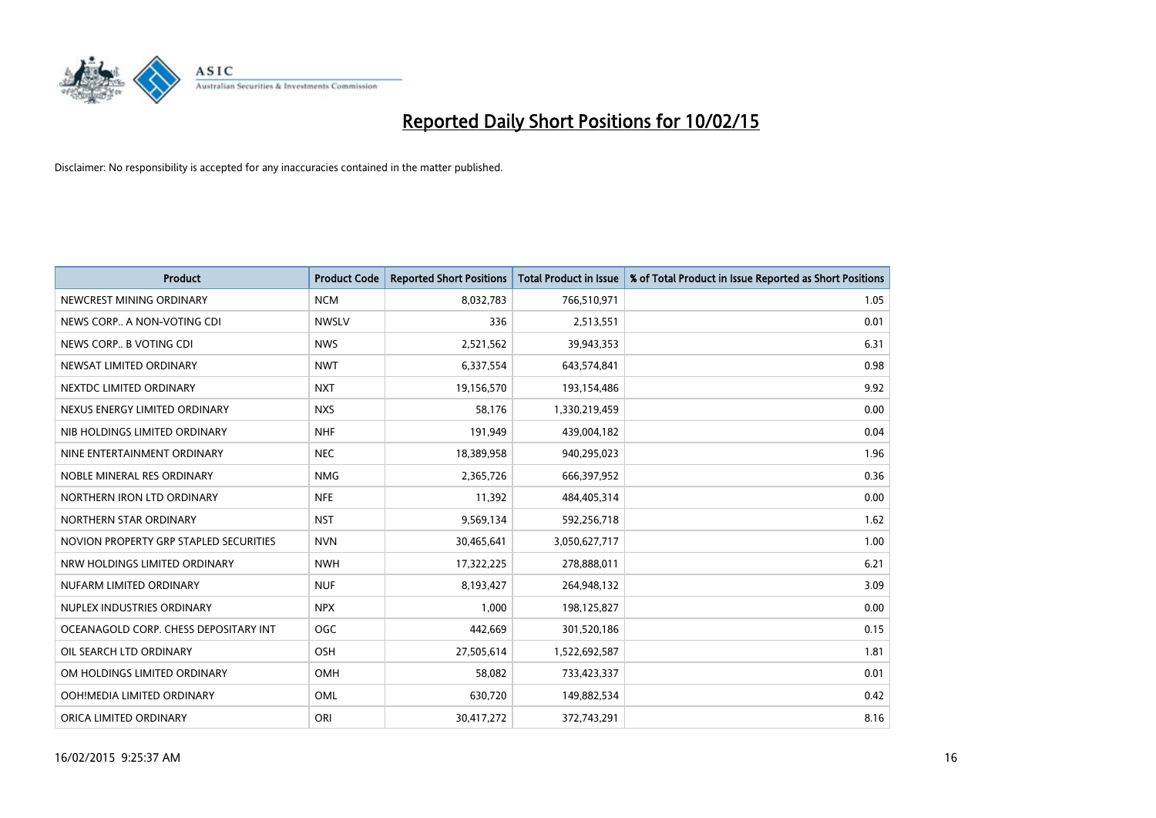

| <b>Product</b>                         | <b>Product Code</b> | <b>Reported Short Positions</b> | <b>Total Product in Issue</b> | % of Total Product in Issue Reported as Short Positions |
|----------------------------------------|---------------------|---------------------------------|-------------------------------|---------------------------------------------------------|
| NEWCREST MINING ORDINARY               | <b>NCM</b>          | 8,032,783                       | 766,510,971                   | 1.05                                                    |
| NEWS CORP A NON-VOTING CDI             | <b>NWSLV</b>        | 336                             | 2,513,551                     | 0.01                                                    |
| NEWS CORP B VOTING CDI                 | <b>NWS</b>          | 2,521,562                       | 39,943,353                    | 6.31                                                    |
| NEWSAT LIMITED ORDINARY                | <b>NWT</b>          | 6,337,554                       | 643,574,841                   | 0.98                                                    |
| NEXTDC LIMITED ORDINARY                | <b>NXT</b>          | 19,156,570                      | 193,154,486                   | 9.92                                                    |
| NEXUS ENERGY LIMITED ORDINARY          | <b>NXS</b>          | 58,176                          | 1,330,219,459                 | 0.00                                                    |
| NIB HOLDINGS LIMITED ORDINARY          | <b>NHF</b>          | 191,949                         | 439,004,182                   | 0.04                                                    |
| NINE ENTERTAINMENT ORDINARY            | <b>NEC</b>          | 18,389,958                      | 940,295,023                   | 1.96                                                    |
| NOBLE MINERAL RES ORDINARY             | <b>NMG</b>          | 2,365,726                       | 666,397,952                   | 0.36                                                    |
| NORTHERN IRON LTD ORDINARY             | <b>NFE</b>          | 11,392                          | 484,405,314                   | 0.00                                                    |
| NORTHERN STAR ORDINARY                 | <b>NST</b>          | 9,569,134                       | 592,256,718                   | 1.62                                                    |
| NOVION PROPERTY GRP STAPLED SECURITIES | <b>NVN</b>          | 30,465,641                      | 3,050,627,717                 | 1.00                                                    |
| NRW HOLDINGS LIMITED ORDINARY          | <b>NWH</b>          | 17,322,225                      | 278,888,011                   | 6.21                                                    |
| NUFARM LIMITED ORDINARY                | <b>NUF</b>          | 8,193,427                       | 264,948,132                   | 3.09                                                    |
| NUPLEX INDUSTRIES ORDINARY             | <b>NPX</b>          | 1,000                           | 198,125,827                   | 0.00                                                    |
| OCEANAGOLD CORP. CHESS DEPOSITARY INT  | <b>OGC</b>          | 442,669                         | 301,520,186                   | 0.15                                                    |
| OIL SEARCH LTD ORDINARY                | OSH                 | 27,505,614                      | 1,522,692,587                 | 1.81                                                    |
| OM HOLDINGS LIMITED ORDINARY           | OMH                 | 58,082                          | 733,423,337                   | 0.01                                                    |
| OOH!MEDIA LIMITED ORDINARY             | <b>OML</b>          | 630,720                         | 149,882,534                   | 0.42                                                    |
| ORICA LIMITED ORDINARY                 | ORI                 | 30,417,272                      | 372,743,291                   | 8.16                                                    |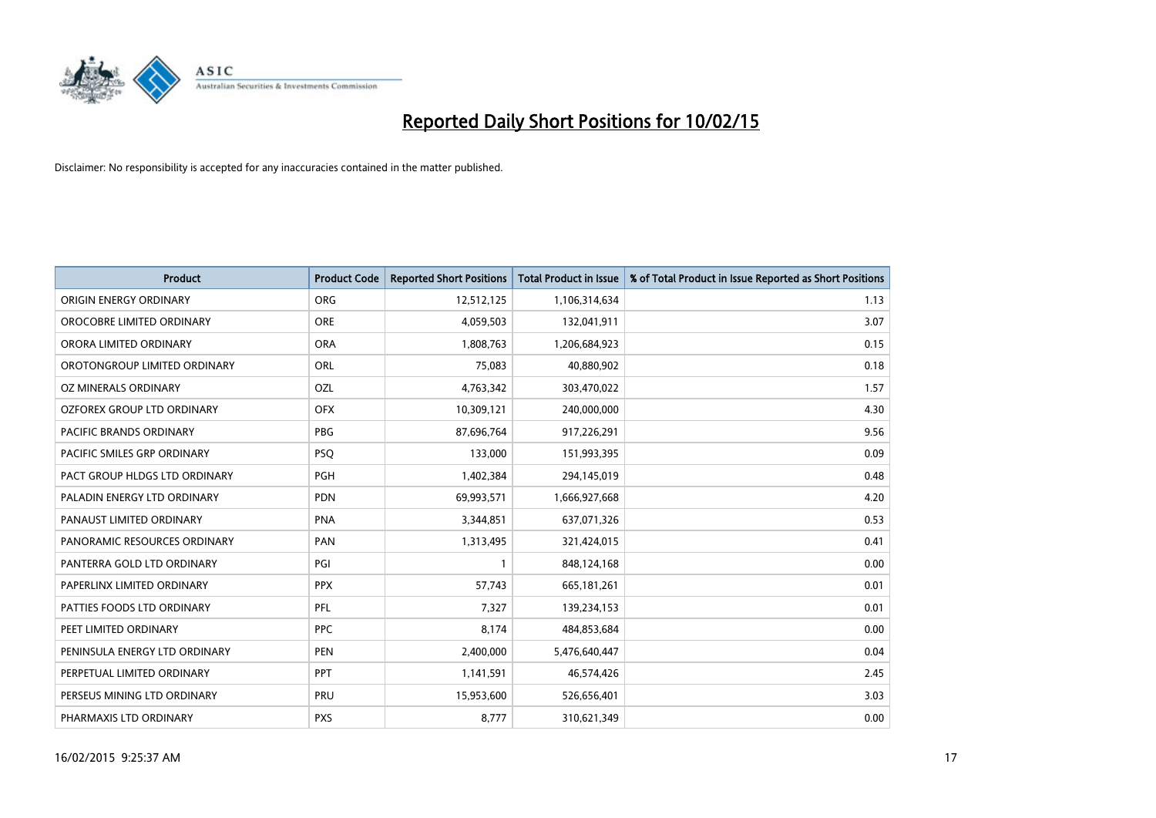

| <b>Product</b>                    | <b>Product Code</b> | <b>Reported Short Positions</b> | <b>Total Product in Issue</b> | % of Total Product in Issue Reported as Short Positions |
|-----------------------------------|---------------------|---------------------------------|-------------------------------|---------------------------------------------------------|
| ORIGIN ENERGY ORDINARY            | <b>ORG</b>          | 12,512,125                      | 1,106,314,634                 | 1.13                                                    |
| OROCOBRE LIMITED ORDINARY         | <b>ORE</b>          | 4,059,503                       | 132,041,911                   | 3.07                                                    |
| ORORA LIMITED ORDINARY            | <b>ORA</b>          | 1,808,763                       | 1,206,684,923                 | 0.15                                                    |
| OROTONGROUP LIMITED ORDINARY      | ORL                 | 75,083                          | 40,880,902                    | 0.18                                                    |
| <b>OZ MINERALS ORDINARY</b>       | <b>OZL</b>          | 4,763,342                       | 303,470,022                   | 1.57                                                    |
| <b>OZFOREX GROUP LTD ORDINARY</b> | <b>OFX</b>          | 10,309,121                      | 240,000,000                   | 4.30                                                    |
| PACIFIC BRANDS ORDINARY           | <b>PBG</b>          | 87,696,764                      | 917,226,291                   | 9.56                                                    |
| PACIFIC SMILES GRP ORDINARY       | <b>PSQ</b>          | 133,000                         | 151,993,395                   | 0.09                                                    |
| PACT GROUP HLDGS LTD ORDINARY     | <b>PGH</b>          | 1,402,384                       | 294,145,019                   | 0.48                                                    |
| PALADIN ENERGY LTD ORDINARY       | <b>PDN</b>          | 69,993,571                      | 1,666,927,668                 | 4.20                                                    |
| PANAUST LIMITED ORDINARY          | <b>PNA</b>          | 3,344,851                       | 637,071,326                   | 0.53                                                    |
| PANORAMIC RESOURCES ORDINARY      | PAN                 | 1,313,495                       | 321,424,015                   | 0.41                                                    |
| PANTERRA GOLD LTD ORDINARY        | PGI                 | $\mathbf{1}$                    | 848,124,168                   | 0.00                                                    |
| PAPERLINX LIMITED ORDINARY        | <b>PPX</b>          | 57,743                          | 665, 181, 261                 | 0.01                                                    |
| PATTIES FOODS LTD ORDINARY        | <b>PFL</b>          | 7,327                           | 139,234,153                   | 0.01                                                    |
| PEET LIMITED ORDINARY             | <b>PPC</b>          | 8,174                           | 484,853,684                   | 0.00                                                    |
| PENINSULA ENERGY LTD ORDINARY     | <b>PEN</b>          | 2,400,000                       | 5,476,640,447                 | 0.04                                                    |
| PERPETUAL LIMITED ORDINARY        | PPT                 | 1,141,591                       | 46,574,426                    | 2.45                                                    |
| PERSEUS MINING LTD ORDINARY       | <b>PRU</b>          | 15,953,600                      | 526,656,401                   | 3.03                                                    |
| PHARMAXIS LTD ORDINARY            | <b>PXS</b>          | 8,777                           | 310,621,349                   | 0.00                                                    |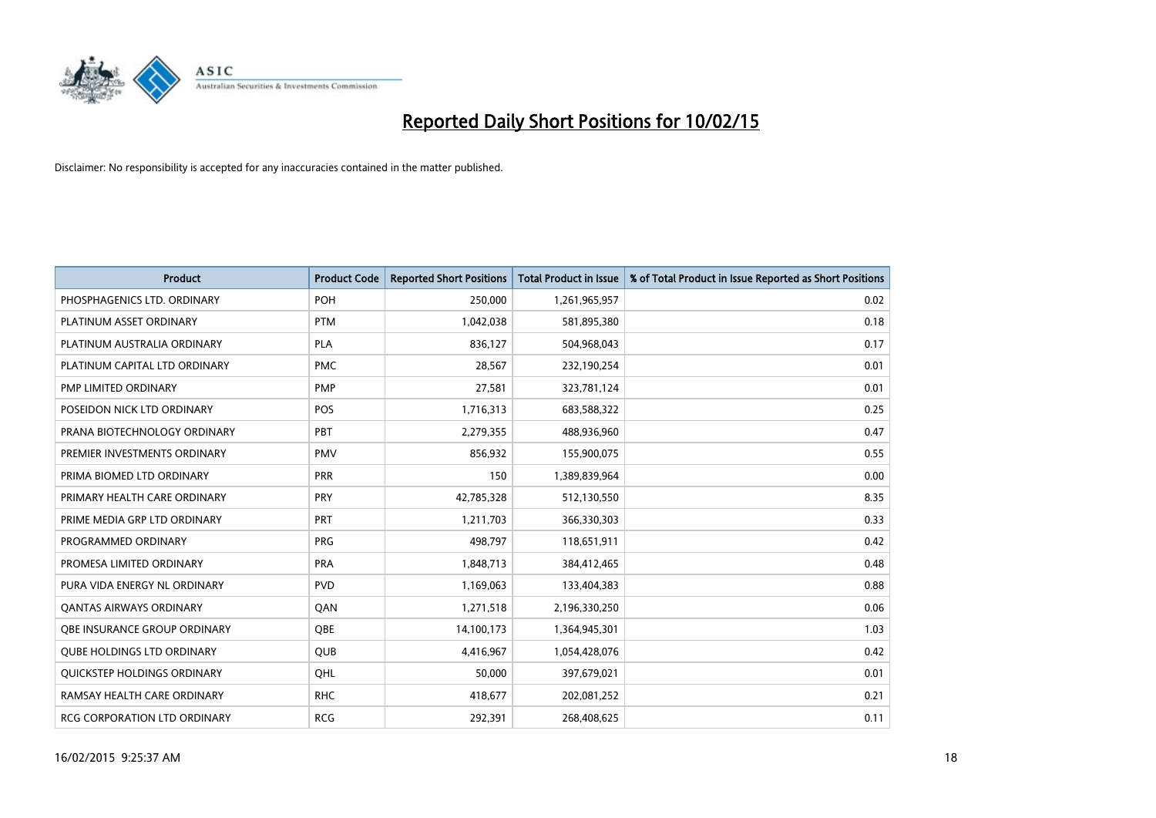

| <b>Product</b>                    | <b>Product Code</b> | <b>Reported Short Positions</b> | <b>Total Product in Issue</b> | % of Total Product in Issue Reported as Short Positions |
|-----------------------------------|---------------------|---------------------------------|-------------------------------|---------------------------------------------------------|
| PHOSPHAGENICS LTD. ORDINARY       | <b>POH</b>          | 250,000                         | 1,261,965,957                 | 0.02                                                    |
| PLATINUM ASSET ORDINARY           | <b>PTM</b>          | 1,042,038                       | 581,895,380                   | 0.18                                                    |
| PLATINUM AUSTRALIA ORDINARY       | <b>PLA</b>          | 836,127                         | 504,968,043                   | 0.17                                                    |
| PLATINUM CAPITAL LTD ORDINARY     | <b>PMC</b>          | 28,567                          | 232,190,254                   | 0.01                                                    |
| PMP LIMITED ORDINARY              | <b>PMP</b>          | 27,581                          | 323,781,124                   | 0.01                                                    |
| POSEIDON NICK LTD ORDINARY        | <b>POS</b>          | 1,716,313                       | 683,588,322                   | 0.25                                                    |
| PRANA BIOTECHNOLOGY ORDINARY      | PBT                 | 2,279,355                       | 488,936,960                   | 0.47                                                    |
| PREMIER INVESTMENTS ORDINARY      | <b>PMV</b>          | 856,932                         | 155,900,075                   | 0.55                                                    |
| PRIMA BIOMED LTD ORDINARY         | <b>PRR</b>          | 150                             | 1,389,839,964                 | 0.00                                                    |
| PRIMARY HEALTH CARE ORDINARY      | <b>PRY</b>          | 42,785,328                      | 512,130,550                   | 8.35                                                    |
| PRIME MEDIA GRP LTD ORDINARY      | <b>PRT</b>          | 1,211,703                       | 366,330,303                   | 0.33                                                    |
| PROGRAMMED ORDINARY               | <b>PRG</b>          | 498,797                         | 118,651,911                   | 0.42                                                    |
| PROMESA LIMITED ORDINARY          | <b>PRA</b>          | 1,848,713                       | 384,412,465                   | 0.48                                                    |
| PURA VIDA ENERGY NL ORDINARY      | <b>PVD</b>          | 1,169,063                       | 133,404,383                   | 0.88                                                    |
| <b>QANTAS AIRWAYS ORDINARY</b>    | QAN                 | 1,271,518                       | 2,196,330,250                 | 0.06                                                    |
| OBE INSURANCE GROUP ORDINARY      | QBE                 | 14,100,173                      | 1,364,945,301                 | 1.03                                                    |
| <b>QUBE HOLDINGS LTD ORDINARY</b> | QUB                 | 4,416,967                       | 1,054,428,076                 | 0.42                                                    |
| QUICKSTEP HOLDINGS ORDINARY       | OHL                 | 50,000                          | 397,679,021                   | 0.01                                                    |
| RAMSAY HEALTH CARE ORDINARY       | <b>RHC</b>          | 418,677                         | 202,081,252                   | 0.21                                                    |
| RCG CORPORATION LTD ORDINARY      | <b>RCG</b>          | 292,391                         | 268,408,625                   | 0.11                                                    |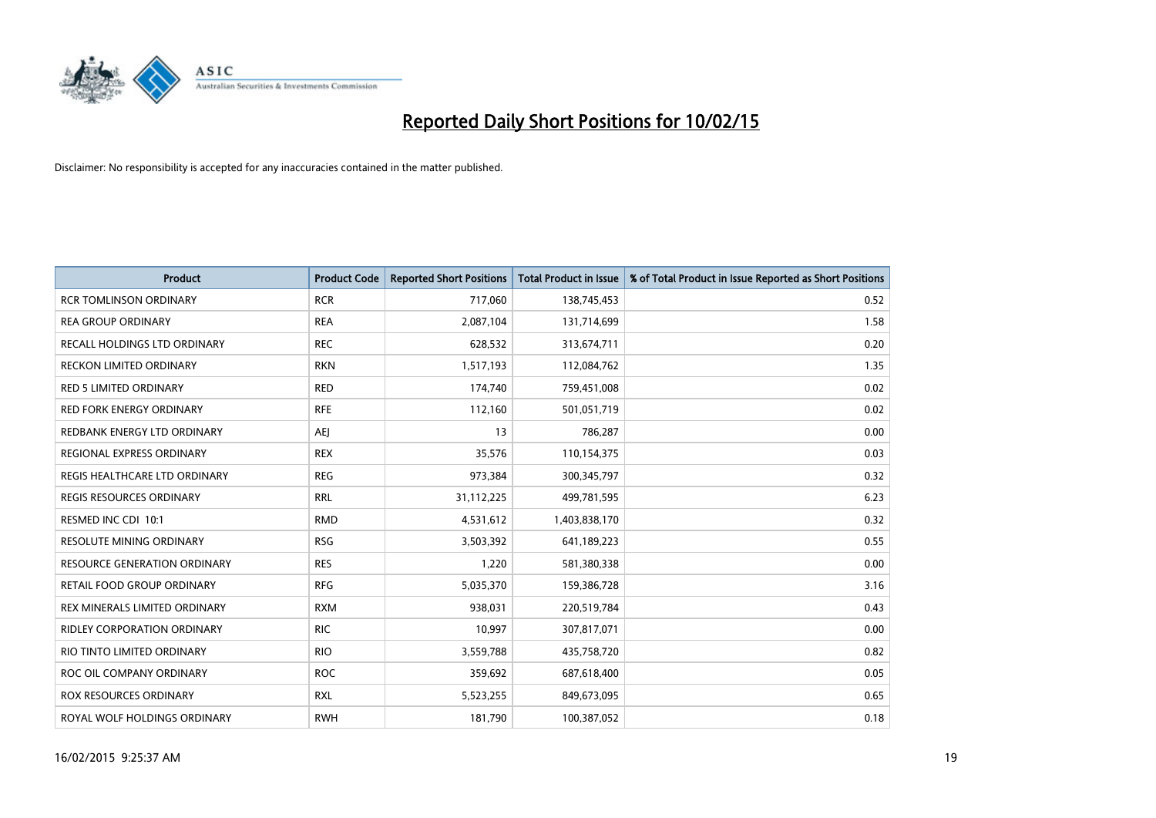

| <b>Product</b>                    | <b>Product Code</b> | <b>Reported Short Positions</b> | <b>Total Product in Issue</b> | % of Total Product in Issue Reported as Short Positions |
|-----------------------------------|---------------------|---------------------------------|-------------------------------|---------------------------------------------------------|
| <b>RCR TOMLINSON ORDINARY</b>     | <b>RCR</b>          | 717,060                         | 138,745,453                   | 0.52                                                    |
| <b>REA GROUP ORDINARY</b>         | <b>REA</b>          | 2,087,104                       | 131,714,699                   | 1.58                                                    |
| RECALL HOLDINGS LTD ORDINARY      | <b>REC</b>          | 628,532                         | 313,674,711                   | 0.20                                                    |
| RECKON LIMITED ORDINARY           | <b>RKN</b>          | 1,517,193                       | 112,084,762                   | 1.35                                                    |
| <b>RED 5 LIMITED ORDINARY</b>     | <b>RED</b>          | 174,740                         | 759,451,008                   | 0.02                                                    |
| <b>RED FORK ENERGY ORDINARY</b>   | <b>RFE</b>          | 112,160                         | 501,051,719                   | 0.02                                                    |
| REDBANK ENERGY LTD ORDINARY       | AEJ                 | 13                              | 786,287                       | 0.00                                                    |
| REGIONAL EXPRESS ORDINARY         | <b>REX</b>          | 35,576                          | 110,154,375                   | 0.03                                                    |
| REGIS HEALTHCARE LTD ORDINARY     | <b>REG</b>          | 973,384                         | 300, 345, 797                 | 0.32                                                    |
| <b>REGIS RESOURCES ORDINARY</b>   | <b>RRL</b>          | 31,112,225                      | 499,781,595                   | 6.23                                                    |
| RESMED INC CDI 10:1               | <b>RMD</b>          | 4,531,612                       | 1,403,838,170                 | 0.32                                                    |
| <b>RESOLUTE MINING ORDINARY</b>   | <b>RSG</b>          | 3,503,392                       | 641,189,223                   | 0.55                                                    |
| RESOURCE GENERATION ORDINARY      | <b>RES</b>          | 1,220                           | 581,380,338                   | 0.00                                                    |
| <b>RETAIL FOOD GROUP ORDINARY</b> | <b>RFG</b>          | 5,035,370                       | 159,386,728                   | 3.16                                                    |
| REX MINERALS LIMITED ORDINARY     | <b>RXM</b>          | 938,031                         | 220,519,784                   | 0.43                                                    |
| RIDLEY CORPORATION ORDINARY       | <b>RIC</b>          | 10,997                          | 307,817,071                   | 0.00                                                    |
| RIO TINTO LIMITED ORDINARY        | <b>RIO</b>          | 3,559,788                       | 435,758,720                   | 0.82                                                    |
| ROC OIL COMPANY ORDINARY          | <b>ROC</b>          | 359,692                         | 687,618,400                   | 0.05                                                    |
| ROX RESOURCES ORDINARY            | <b>RXL</b>          | 5,523,255                       | 849,673,095                   | 0.65                                                    |
| ROYAL WOLF HOLDINGS ORDINARY      | <b>RWH</b>          | 181,790                         | 100,387,052                   | 0.18                                                    |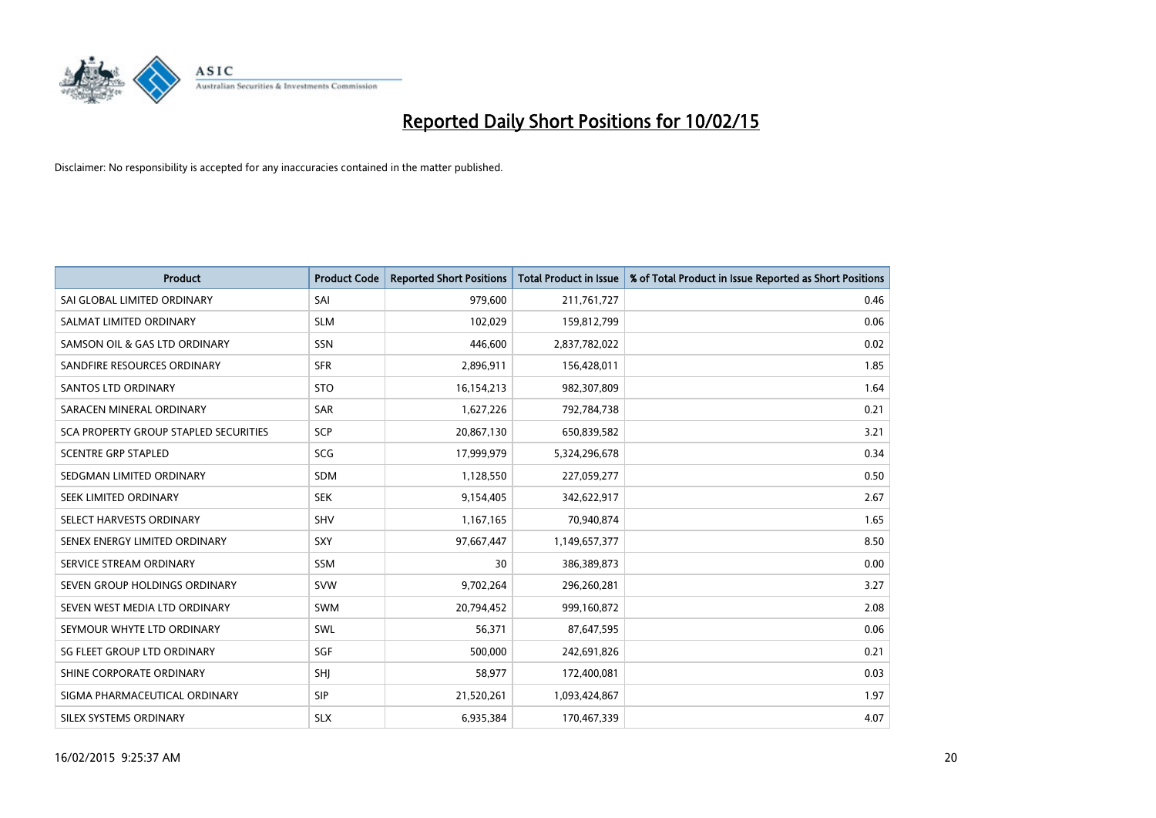

| <b>Product</b>                        | <b>Product Code</b> | <b>Reported Short Positions</b> | <b>Total Product in Issue</b> | % of Total Product in Issue Reported as Short Positions |
|---------------------------------------|---------------------|---------------------------------|-------------------------------|---------------------------------------------------------|
| SAI GLOBAL LIMITED ORDINARY           | SAI                 | 979,600                         | 211,761,727                   | 0.46                                                    |
| SALMAT LIMITED ORDINARY               | <b>SLM</b>          | 102,029                         | 159,812,799                   | 0.06                                                    |
| SAMSON OIL & GAS LTD ORDINARY         | <b>SSN</b>          | 446,600                         | 2,837,782,022                 | 0.02                                                    |
| SANDFIRE RESOURCES ORDINARY           | <b>SFR</b>          | 2,896,911                       | 156,428,011                   | 1.85                                                    |
| <b>SANTOS LTD ORDINARY</b>            | <b>STO</b>          | 16,154,213                      | 982,307,809                   | 1.64                                                    |
| SARACEN MINERAL ORDINARY              | <b>SAR</b>          | 1,627,226                       | 792,784,738                   | 0.21                                                    |
| SCA PROPERTY GROUP STAPLED SECURITIES | <b>SCP</b>          | 20,867,130                      | 650,839,582                   | 3.21                                                    |
| <b>SCENTRE GRP STAPLED</b>            | SCG                 | 17,999,979                      | 5,324,296,678                 | 0.34                                                    |
| SEDGMAN LIMITED ORDINARY              | <b>SDM</b>          | 1,128,550                       | 227,059,277                   | 0.50                                                    |
| SEEK LIMITED ORDINARY                 | <b>SEK</b>          | 9,154,405                       | 342,622,917                   | 2.67                                                    |
| SELECT HARVESTS ORDINARY              | SHV                 | 1,167,165                       | 70,940,874                    | 1.65                                                    |
| SENEX ENERGY LIMITED ORDINARY         | <b>SXY</b>          | 97,667,447                      | 1,149,657,377                 | 8.50                                                    |
| SERVICE STREAM ORDINARY               | SSM                 | 30                              | 386,389,873                   | 0.00                                                    |
| SEVEN GROUP HOLDINGS ORDINARY         | <b>SVW</b>          | 9,702,264                       | 296,260,281                   | 3.27                                                    |
| SEVEN WEST MEDIA LTD ORDINARY         | <b>SWM</b>          | 20,794,452                      | 999,160,872                   | 2.08                                                    |
| SEYMOUR WHYTE LTD ORDINARY            | SWL                 | 56,371                          | 87,647,595                    | 0.06                                                    |
| SG FLEET GROUP LTD ORDINARY           | SGF                 | 500,000                         | 242,691,826                   | 0.21                                                    |
| SHINE CORPORATE ORDINARY              | SHJ                 | 58,977                          | 172,400,081                   | 0.03                                                    |
| SIGMA PHARMACEUTICAL ORDINARY         | <b>SIP</b>          | 21,520,261                      | 1,093,424,867                 | 1.97                                                    |
| SILEX SYSTEMS ORDINARY                | <b>SLX</b>          | 6,935,384                       | 170,467,339                   | 4.07                                                    |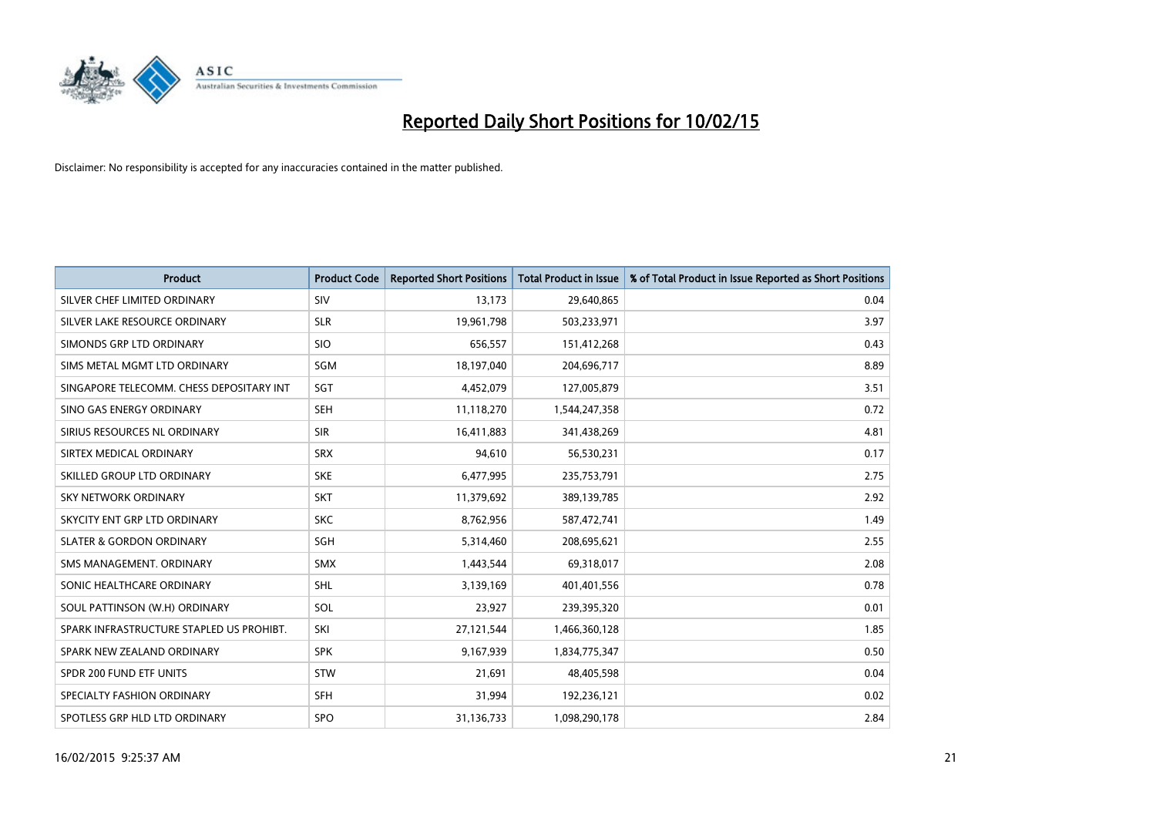

| <b>Product</b>                           | <b>Product Code</b> | <b>Reported Short Positions</b> | <b>Total Product in Issue</b> | % of Total Product in Issue Reported as Short Positions |
|------------------------------------------|---------------------|---------------------------------|-------------------------------|---------------------------------------------------------|
| SILVER CHEF LIMITED ORDINARY             | SIV                 | 13,173                          | 29,640,865                    | 0.04                                                    |
| SILVER LAKE RESOURCE ORDINARY            | <b>SLR</b>          | 19,961,798                      | 503,233,971                   | 3.97                                                    |
| SIMONDS GRP LTD ORDINARY                 | <b>SIO</b>          | 656,557                         | 151,412,268                   | 0.43                                                    |
| SIMS METAL MGMT LTD ORDINARY             | SGM                 | 18,197,040                      | 204,696,717                   | 8.89                                                    |
| SINGAPORE TELECOMM. CHESS DEPOSITARY INT | SGT                 | 4,452,079                       | 127,005,879                   | 3.51                                                    |
| SINO GAS ENERGY ORDINARY                 | <b>SEH</b>          | 11,118,270                      | 1,544,247,358                 | 0.72                                                    |
| SIRIUS RESOURCES NL ORDINARY             | <b>SIR</b>          | 16,411,883                      | 341,438,269                   | 4.81                                                    |
| SIRTEX MEDICAL ORDINARY                  | <b>SRX</b>          | 94,610                          | 56,530,231                    | 0.17                                                    |
| SKILLED GROUP LTD ORDINARY               | <b>SKE</b>          | 6,477,995                       | 235,753,791                   | 2.75                                                    |
| <b>SKY NETWORK ORDINARY</b>              | <b>SKT</b>          | 11,379,692                      | 389,139,785                   | 2.92                                                    |
| SKYCITY ENT GRP LTD ORDINARY             | <b>SKC</b>          | 8,762,956                       | 587,472,741                   | 1.49                                                    |
| <b>SLATER &amp; GORDON ORDINARY</b>      | SGH                 | 5,314,460                       | 208,695,621                   | 2.55                                                    |
| SMS MANAGEMENT. ORDINARY                 | <b>SMX</b>          | 1,443,544                       | 69,318,017                    | 2.08                                                    |
| SONIC HEALTHCARE ORDINARY                | SHL                 | 3,139,169                       | 401,401,556                   | 0.78                                                    |
| SOUL PATTINSON (W.H) ORDINARY            | SOL                 | 23,927                          | 239,395,320                   | 0.01                                                    |
| SPARK INFRASTRUCTURE STAPLED US PROHIBT. | SKI                 | 27,121,544                      | 1,466,360,128                 | 1.85                                                    |
| SPARK NEW ZEALAND ORDINARY               | <b>SPK</b>          | 9,167,939                       | 1,834,775,347                 | 0.50                                                    |
| SPDR 200 FUND ETF UNITS                  | <b>STW</b>          | 21,691                          | 48,405,598                    | 0.04                                                    |
| SPECIALTY FASHION ORDINARY               | <b>SFH</b>          | 31,994                          | 192,236,121                   | 0.02                                                    |
| SPOTLESS GRP HLD LTD ORDINARY            | <b>SPO</b>          | 31,136,733                      | 1,098,290,178                 | 2.84                                                    |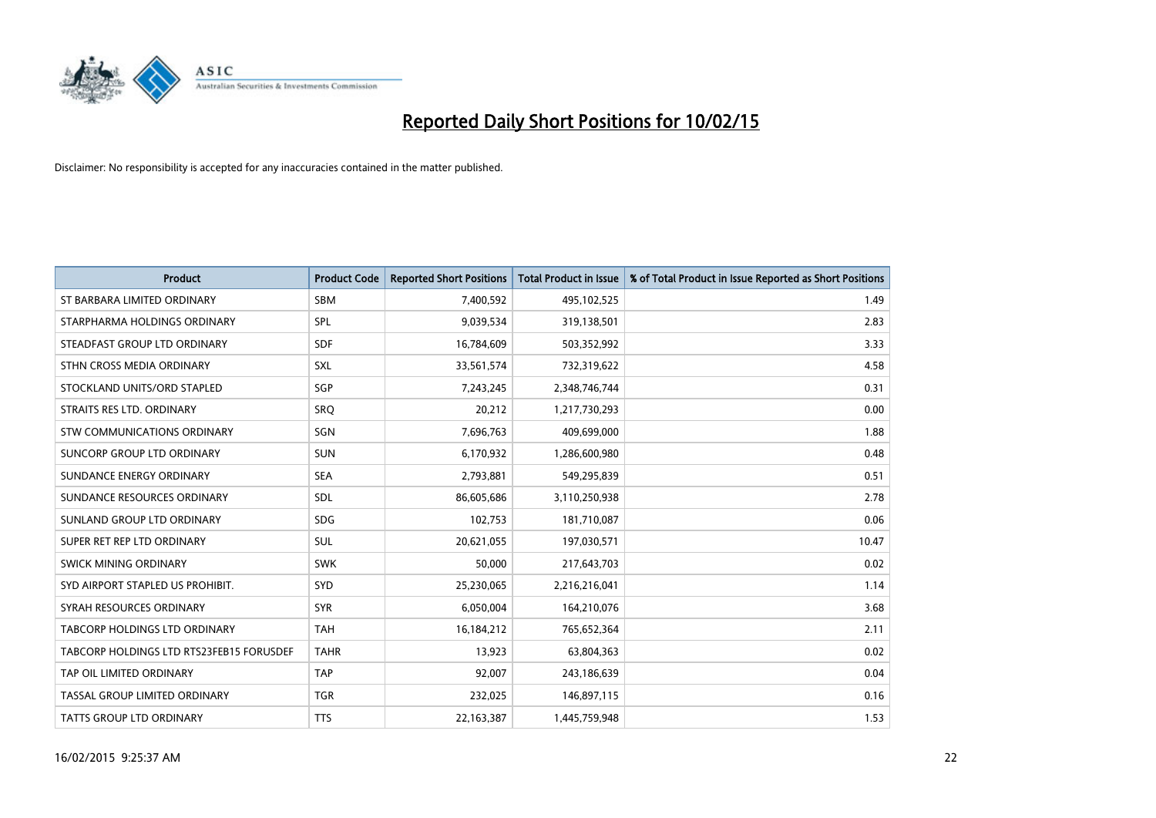

| <b>Product</b>                           | <b>Product Code</b> | <b>Reported Short Positions</b> | <b>Total Product in Issue</b> | % of Total Product in Issue Reported as Short Positions |
|------------------------------------------|---------------------|---------------------------------|-------------------------------|---------------------------------------------------------|
| ST BARBARA LIMITED ORDINARY              | <b>SBM</b>          | 7,400,592                       | 495,102,525                   | 1.49                                                    |
| STARPHARMA HOLDINGS ORDINARY             | SPL                 | 9,039,534                       | 319,138,501                   | 2.83                                                    |
| STEADFAST GROUP LTD ORDINARY             | <b>SDF</b>          | 16,784,609                      | 503,352,992                   | 3.33                                                    |
| STHN CROSS MEDIA ORDINARY                | SXL                 | 33,561,574                      | 732,319,622                   | 4.58                                                    |
| STOCKLAND UNITS/ORD STAPLED              | SGP                 | 7,243,245                       | 2,348,746,744                 | 0.31                                                    |
| STRAITS RES LTD. ORDINARY                | SRQ                 | 20,212                          | 1,217,730,293                 | 0.00                                                    |
| STW COMMUNICATIONS ORDINARY              | SGN                 | 7,696,763                       | 409,699,000                   | 1.88                                                    |
| SUNCORP GROUP LTD ORDINARY               | <b>SUN</b>          | 6,170,932                       | 1,286,600,980                 | 0.48                                                    |
| SUNDANCE ENERGY ORDINARY                 | <b>SEA</b>          | 2,793,881                       | 549,295,839                   | 0.51                                                    |
| SUNDANCE RESOURCES ORDINARY              | <b>SDL</b>          | 86,605,686                      | 3,110,250,938                 | 2.78                                                    |
| SUNLAND GROUP LTD ORDINARY               | <b>SDG</b>          | 102,753                         | 181,710,087                   | 0.06                                                    |
| SUPER RET REP LTD ORDINARY               | <b>SUL</b>          | 20,621,055                      | 197,030,571                   | 10.47                                                   |
| SWICK MINING ORDINARY                    | <b>SWK</b>          | 50,000                          | 217,643,703                   | 0.02                                                    |
| SYD AIRPORT STAPLED US PROHIBIT.         | SYD                 | 25,230,065                      | 2,216,216,041                 | 1.14                                                    |
| SYRAH RESOURCES ORDINARY                 | <b>SYR</b>          | 6,050,004                       | 164,210,076                   | 3.68                                                    |
| TABCORP HOLDINGS LTD ORDINARY            | <b>TAH</b>          | 16,184,212                      | 765,652,364                   | 2.11                                                    |
| TABCORP HOLDINGS LTD RTS23FEB15 FORUSDEF | <b>TAHR</b>         | 13,923                          | 63,804,363                    | 0.02                                                    |
| TAP OIL LIMITED ORDINARY                 | <b>TAP</b>          | 92,007                          | 243,186,639                   | 0.04                                                    |
| TASSAL GROUP LIMITED ORDINARY            | <b>TGR</b>          | 232,025                         | 146,897,115                   | 0.16                                                    |
| <b>TATTS GROUP LTD ORDINARY</b>          | <b>TTS</b>          | 22,163,387                      | 1,445,759,948                 | 1.53                                                    |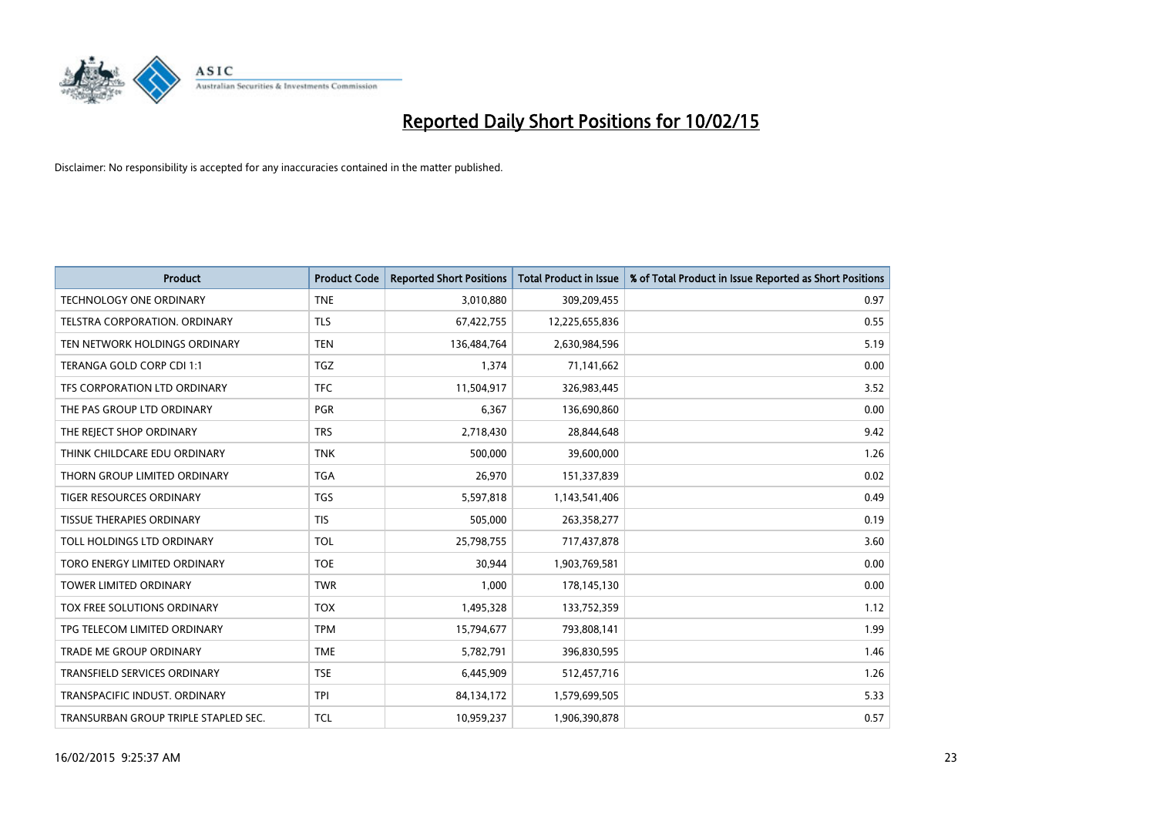

| <b>Product</b>                       | <b>Product Code</b> | <b>Reported Short Positions</b> | <b>Total Product in Issue</b> | % of Total Product in Issue Reported as Short Positions |
|--------------------------------------|---------------------|---------------------------------|-------------------------------|---------------------------------------------------------|
| <b>TECHNOLOGY ONE ORDINARY</b>       | <b>TNE</b>          | 3,010,880                       | 309,209,455                   | 0.97                                                    |
| TELSTRA CORPORATION. ORDINARY        | <b>TLS</b>          | 67,422,755                      | 12,225,655,836                | 0.55                                                    |
| TEN NETWORK HOLDINGS ORDINARY        | <b>TEN</b>          | 136,484,764                     | 2,630,984,596                 | 5.19                                                    |
| TERANGA GOLD CORP CDI 1:1            | <b>TGZ</b>          | 1,374                           | 71,141,662                    | 0.00                                                    |
| TFS CORPORATION LTD ORDINARY         | <b>TFC</b>          | 11,504,917                      | 326,983,445                   | 3.52                                                    |
| THE PAS GROUP LTD ORDINARY           | <b>PGR</b>          | 6,367                           | 136,690,860                   | 0.00                                                    |
| THE REJECT SHOP ORDINARY             | <b>TRS</b>          | 2,718,430                       | 28,844,648                    | 9.42                                                    |
| THINK CHILDCARE EDU ORDINARY         | <b>TNK</b>          | 500,000                         | 39,600,000                    | 1.26                                                    |
| THORN GROUP LIMITED ORDINARY         | <b>TGA</b>          | 26,970                          | 151,337,839                   | 0.02                                                    |
| <b>TIGER RESOURCES ORDINARY</b>      | <b>TGS</b>          | 5,597,818                       | 1,143,541,406                 | 0.49                                                    |
| <b>TISSUE THERAPIES ORDINARY</b>     | <b>TIS</b>          | 505,000                         | 263,358,277                   | 0.19                                                    |
| TOLL HOLDINGS LTD ORDINARY           | <b>TOL</b>          | 25,798,755                      | 717,437,878                   | 3.60                                                    |
| TORO ENERGY LIMITED ORDINARY         | <b>TOE</b>          | 30,944                          | 1,903,769,581                 | 0.00                                                    |
| <b>TOWER LIMITED ORDINARY</b>        | <b>TWR</b>          | 1,000                           | 178,145,130                   | 0.00                                                    |
| TOX FREE SOLUTIONS ORDINARY          | <b>TOX</b>          | 1,495,328                       | 133,752,359                   | 1.12                                                    |
| TPG TELECOM LIMITED ORDINARY         | <b>TPM</b>          | 15,794,677                      | 793,808,141                   | 1.99                                                    |
| <b>TRADE ME GROUP ORDINARY</b>       | <b>TME</b>          | 5,782,791                       | 396,830,595                   | 1.46                                                    |
| TRANSFIELD SERVICES ORDINARY         | <b>TSE</b>          | 6,445,909                       | 512,457,716                   | 1.26                                                    |
| TRANSPACIFIC INDUST, ORDINARY        | <b>TPI</b>          | 84,134,172                      | 1,579,699,505                 | 5.33                                                    |
| TRANSURBAN GROUP TRIPLE STAPLED SEC. | <b>TCL</b>          | 10,959,237                      | 1,906,390,878                 | 0.57                                                    |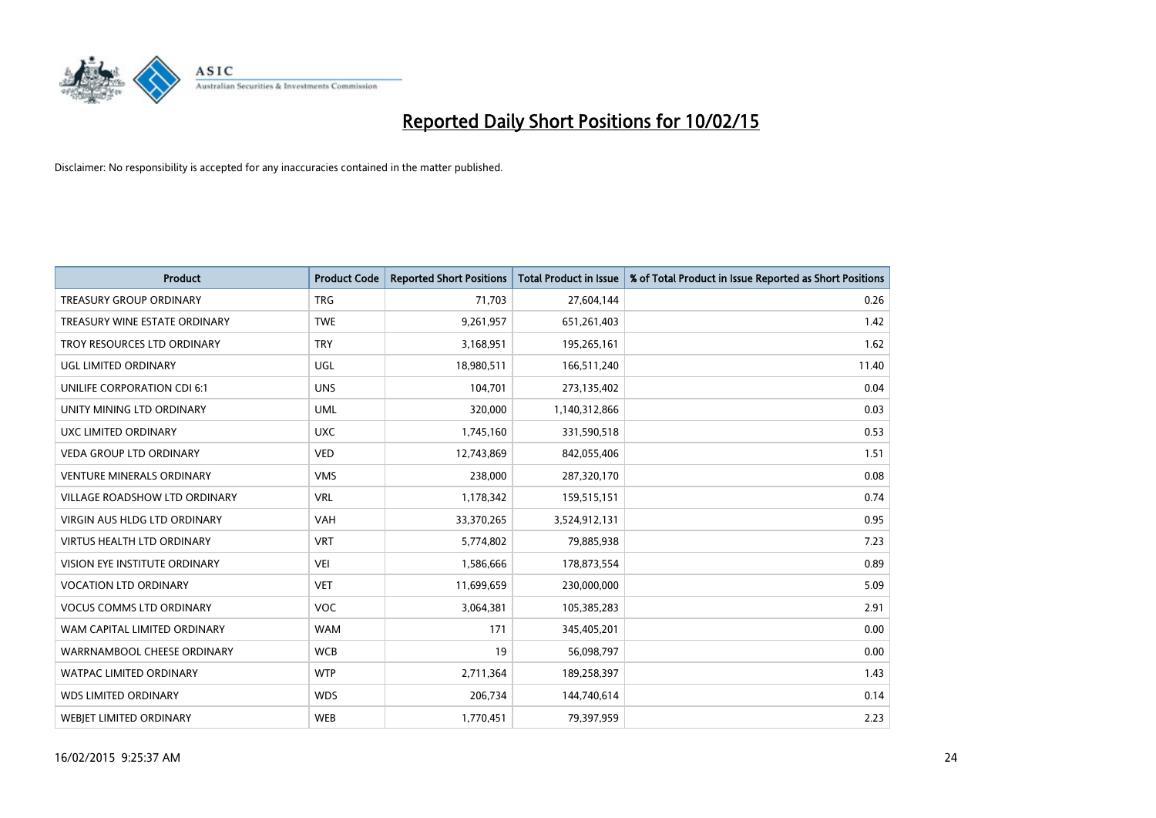

| <b>Product</b>                       | <b>Product Code</b> | <b>Reported Short Positions</b> | <b>Total Product in Issue</b> | % of Total Product in Issue Reported as Short Positions |
|--------------------------------------|---------------------|---------------------------------|-------------------------------|---------------------------------------------------------|
| <b>TREASURY GROUP ORDINARY</b>       | <b>TRG</b>          | 71,703                          | 27,604,144                    | 0.26                                                    |
| TREASURY WINE ESTATE ORDINARY        | <b>TWE</b>          | 9,261,957                       | 651,261,403                   | 1.42                                                    |
| TROY RESOURCES LTD ORDINARY          | <b>TRY</b>          | 3,168,951                       | 195,265,161                   | 1.62                                                    |
| UGL LIMITED ORDINARY                 | UGL                 | 18,980,511                      | 166,511,240                   | 11.40                                                   |
| UNILIFE CORPORATION CDI 6:1          | <b>UNS</b>          | 104,701                         | 273,135,402                   | 0.04                                                    |
| UNITY MINING LTD ORDINARY            | <b>UML</b>          | 320,000                         | 1,140,312,866                 | 0.03                                                    |
| UXC LIMITED ORDINARY                 | <b>UXC</b>          | 1,745,160                       | 331,590,518                   | 0.53                                                    |
| <b>VEDA GROUP LTD ORDINARY</b>       | <b>VED</b>          | 12,743,869                      | 842,055,406                   | 1.51                                                    |
| <b>VENTURE MINERALS ORDINARY</b>     | <b>VMS</b>          | 238,000                         | 287,320,170                   | 0.08                                                    |
| <b>VILLAGE ROADSHOW LTD ORDINARY</b> | <b>VRL</b>          | 1,178,342                       | 159,515,151                   | 0.74                                                    |
| VIRGIN AUS HLDG LTD ORDINARY         | <b>VAH</b>          | 33,370,265                      | 3,524,912,131                 | 0.95                                                    |
| <b>VIRTUS HEALTH LTD ORDINARY</b>    | <b>VRT</b>          | 5,774,802                       | 79,885,938                    | 7.23                                                    |
| VISION EYE INSTITUTE ORDINARY        | <b>VEI</b>          | 1,586,666                       | 178,873,554                   | 0.89                                                    |
| <b>VOCATION LTD ORDINARY</b>         | <b>VET</b>          | 11,699,659                      | 230,000,000                   | 5.09                                                    |
| <b>VOCUS COMMS LTD ORDINARY</b>      | <b>VOC</b>          | 3,064,381                       | 105,385,283                   | 2.91                                                    |
| WAM CAPITAL LIMITED ORDINARY         | <b>WAM</b>          | 171                             | 345,405,201                   | 0.00                                                    |
| WARRNAMBOOL CHEESE ORDINARY          | <b>WCB</b>          | 19                              | 56,098,797                    | 0.00                                                    |
| WATPAC LIMITED ORDINARY              | <b>WTP</b>          | 2,711,364                       | 189,258,397                   | 1.43                                                    |
| <b>WDS LIMITED ORDINARY</b>          | <b>WDS</b>          | 206,734                         | 144,740,614                   | 0.14                                                    |
| <b>WEBJET LIMITED ORDINARY</b>       | <b>WEB</b>          | 1,770,451                       | 79,397,959                    | 2.23                                                    |